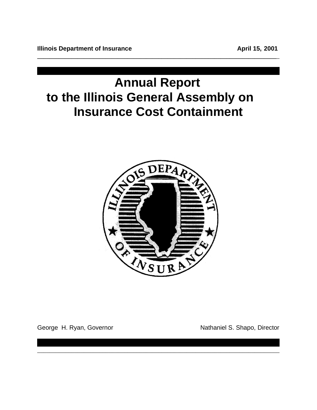# **Annual Report to the Illinois General Assembly on Insurance Cost Containment**

**\_\_\_\_\_\_\_\_\_\_\_\_\_\_\_\_\_\_\_\_\_\_\_\_\_\_\_\_\_\_\_\_\_\_\_\_\_\_\_\_\_\_\_\_\_\_\_\_\_\_\_\_\_\_\_\_\_\_\_\_\_\_\_\_\_\_\_\_\_\_\_\_\_\_\_\_\_**\_



\_\_\_\_\_\_\_\_\_\_\_\_\_\_\_\_\_\_\_\_\_\_\_\_\_\_\_\_\_\_\_\_\_\_\_\_\_\_\_\_\_\_\_\_\_\_\_\_\_\_\_\_\_\_\_\_\_\_\_\_\_\_\_\_\_\_\_\_\_\_\_\_\_\_\_\_\_\_

George H. Ryan, Governor Nathaniel S. Shapo, Director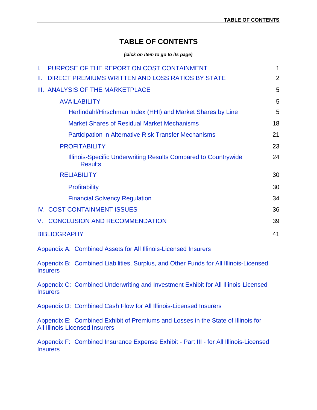### **TABLE OF CONTENTS**

*(click on item to go to its page)*

| L. | PURPOSE OF THE REPORT ON COST CONTAINMENT                                        | 1  |
|----|----------------------------------------------------------------------------------|----|
| Ш. | DIRECT PREMIUMS WRITTEN AND LOSS RATIOS BY STATE                                 | 2  |
|    | <b>III. ANALYSIS OF THE MARKETPLACE</b>                                          | 5  |
|    | <b>AVAILABILITY</b>                                                              | 5  |
|    | Herfindahl/Hirschman Index (HHI) and Market Shares by Line                       | 5  |
|    | <b>Market Shares of Residual Market Mechanisms</b>                               | 18 |
|    | <b>Participation in Alternative Risk Transfer Mechanisms</b>                     | 21 |
|    | <b>PROFITABILITY</b>                                                             | 23 |
|    | Illinois-Specific Underwriting Results Compared to Countrywide<br><b>Results</b> | 24 |
|    | <b>RELIABILITY</b>                                                               | 30 |
|    | Profitability                                                                    | 30 |
|    | <b>Financial Solvency Regulation</b>                                             | 34 |
|    | IV. COST CONTAINMENT ISSUES                                                      | 36 |
|    | V. CONCLUSION AND RECOMMENDATION                                                 | 39 |
|    | <b>BIBLIOGRAPHY</b>                                                              | 41 |
|    | Appendix A: Combined Assets for All Illinois-Licensed Insurers                   |    |

[Appendix B: Combined Liabilities, Surplus, and Other Funds for All Illinois-Licensed](#page-45-0) **Insurers** 

[Appendix C: Combined Underwriting and Investment Exhibit for All Illinois-Licensed](#page-46-0)  **Insurers** 

[Appendix D: Combined Cash Flow for All Illinois-Licensed Insurers](#page-47-0)

[Appendix E: Combined Exhibit of Premiums and Losses in the State of Illinois for](#page-48-0) All Illinois-Licensed Insurers

[Appendix F: Combined Insurance Expense Exhibit - Part III - for All Illinois-Licensed](#page-49-0) **Insurers**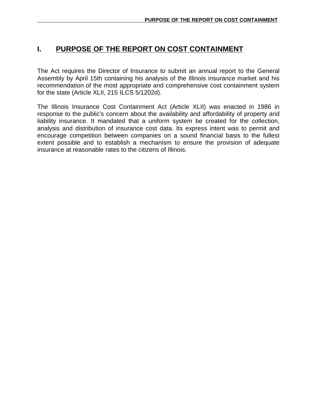# <span id="page-2-0"></span>**I. PURPOSE OF THE REPORT ON COST CONTAINMENT**

The Act requires the Director of Insurance to submit an annual report to the General Assembly by April 15th containing his analysis of the Illinois insurance market and his recommendation of the most appropriate and comprehensive cost containment system for the state (Article XLII, 215 ILCS 5/1202d).

The Illinois Insurance Cost Containment Act (Article XLII) was enacted in 1986 in response to the public's concern about the availability and affordability of property and liability insurance. It mandated that a uniform system be created for the collection, analysis and distribution of insurance cost data. Its express intent was to permit and encourage competition between companies on a sound financial basis to the fullest extent possible and to establish a mechanism to ensure the provision of adequate insurance at reasonable rates to the citizens of Illinois.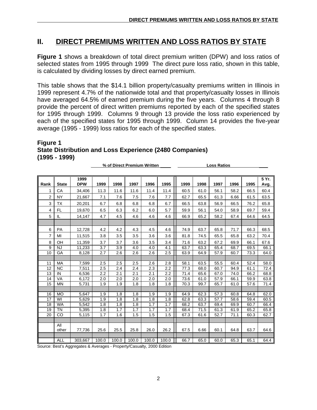### <span id="page-3-0"></span>**II. DIRECT PREMIUMS WRITTEN AND LOSS RATIOS BY STATE**

**Figure 1** shows a breakdown of total direct premium written (DPW) and loss ratios of selected states from 1995 through 1999 The direct pure loss ratio, shown in this table, is calculated by dividing losses by direct earned premium.

This table shows that the \$14.1 billion property/casualty premiums written in Illinois in 1999 represent 4.7% of the nationwide total and that property/casualty losses in Illinois have averaged 64.5% of earned premium during the five years. Columns 4 through 8 provide the percent of direct written premiums reported by each of the specified states for 1995 through 1999. Columns 9 through 13 provide the loss ratio experienced by each of the specified states for 1995 through 1999. Column 14 provides the five-year average (1995 - 1999) loss ratios for each of the specified states.

#### **Figure 1 State Distribution and Loss Experience (2480 Companies) (1995 - 1999)**

| Rank | <b>State</b> | 1999<br><b>DPW</b> | 1999  | 1998  | 1997  | 1996  | 1995  | 1999 | 1998 | 1997 | 1996 | 1995 | 5 Yr.<br>Avg. |
|------|--------------|--------------------|-------|-------|-------|-------|-------|------|------|------|------|------|---------------|
| 1    | CA           | 34,406             | 11.3  | 11.6  | 11.6  | 11.4  | 11.4  | 60.5 | 61.0 | 56.1 | 58.2 | 66.5 | 60.4          |
| 2    | <b>NY</b>    | 21,667             | 7.1   | 7.6   | 7.5   | 7.6   | 7.7   | 62.7 | 65.5 | 61.3 | 6.66 | 61.5 | 63.5          |
| 3    | <b>TX</b>    | 20,201             | 6.7   | 6.8   | 6.8   | 6.8   | 6.7   | 66.5 | 63.8 | 56.9 | 66.5 | 76.2 | 65.8          |
| 4    | <b>FL</b>    | 19,670             | 6.5   | 6.3   | 6.2   | 6.0   | 5.7   | 59.9 | 56.1 | 54.0 | 58.9 | 69.7 | 59.4          |
| 5    | IL           | 14,147             | 4.7   | 4.5   | 4.6   | 4.6   | 4.6   | 66.9 | 65.2 | 58.2 | 67.4 | 64.6 | 64.5          |
|      |              |                    |       |       |       |       |       |      |      |      |      |      |               |
| 6    | PA           | 12,728             | 4.2   | 4.2   | 4.3   | 4.5   | 4.6   | 74.9 | 63.7 | 65.8 | 71.7 | 66.3 | 68.5          |
| 7    | MI           | 11,515             | 3.8   | 3.5   | 3.5   | 3.6   | 3.6   | 81.8 | 74.5 | 65.5 | 65.8 | 63.2 | 70.4          |
| 8    | OH           | 11,359             | 3.7   | 3.7   | 3.6   | 3.5   | 3.4   | 71.6 | 63.2 | 67.2 | 69.9 | 66.1 | 67.6          |
| 9    | NJ           | 11,233             | 3.7   | 3.9   | 4.0   | 4.0   | 4.1   | 63.7 | 63.3 | 65.4 | 68.7 | 69.5 | 66.1          |
| 10   | GA           | 8,128              | 2.7   | 2.6   | 2.6   | 2.6   | 2.5   | 63.9 | 64.9 | 57.9 | 60.7 | 73.3 | 64.0          |
|      |              |                    |       |       |       |       |       |      |      |      |      |      |               |
| 11   | MA           | 7,599              | 2.5   | 2.5   | 2.5   | 2.6   | 2.8   | 58.1 | 63.5 | 55.5 | 60.4 | 52.4 | 58.0          |
| 12   | <b>NC</b>    | 7,511              | 2.5   | 2.4   | 2.4   | 2.3   | 2.2   | 77.3 | 68.0 | 60.7 | 94.9 | 61.1 | 72.4          |
| 13   | IN           | 6,536              | 2.2   | 2.1   | 2.1   | 2.1   | 2.2   | 71.4 | 65.6 | 67.0 | 74.0 | 66.2 | 68.8          |
| 14   | VA           | 6,172              | 2.0   | 2.0   | 2.0   | 2.0   | 2.0   | 73.6 | 61.0 | 57.9 | 66.1 | 59.9 | 63.8          |
| 15   | <b>MN</b>    | 5,731              | 1.9   | 1.9   | 1.8   | 1.8   | 1.8   | 70.3 | 99.7 | 65.7 | 61.0 | 57.6 | 71.4          |
|      |              |                    |       |       |       |       |       |      |      |      |      |      |               |
| 16   | <b>MO</b>    | 5,647              | 1.9   | 1.8   | 1.8   | 1.9   | 1.9   | 64.9 | 62.3 | 57.3 | 60.8 | 64.8 | 62.0          |
| 17   | WI           | 5,629              | 1.9   | 1.8   | 1.8   | 1.8   | 1.8   | 62.8 | 63.3 | 57.7 | 58.6 | 59.4 | 60.5          |
| 18   | <b>WA</b>    | 5,542              | 1.8   | 1.8   | 1.8   | 1.7   | 1.7   | 68.2 | 63.7 | 69.4 | 69.9 | 60.7 | 66.4          |
| 19   | <b>TN</b>    | 5,395              | 1.8   | 1.7   | 1.7   | 1.7   | 1.7   | 68.4 | 71.5 | 61.3 | 61.9 | 65.2 | 65.8          |
| 20   | CO           | 5,115              | 1.7   | 1.6   | 1.5   | 1.5   | 1.5   | 67.3 | 61.6 | 52.7 | 71.1 | 60.3 | 62.7          |
|      |              |                    |       |       |       |       |       |      |      |      |      |      |               |
|      | All<br>other | 77,736             | 25.6  | 25.5  | 25.8  | 26.0  | 26.2  | 67.5 | 6.66 | 60.1 | 64.8 | 63.7 | 64.6          |
|      | <b>ALL</b>   | 303,667            | 100.0 | 100.0 | 100.0 | 100.0 | 100.0 | 66.7 | 65.0 | 60.0 | 65.3 | 65.1 | 64.4          |
|      |              |                    |       |       |       |       |       |      |      |      |      |      |               |

 **% of Direct Premium Written Loss Ratios** 

Source: Best's Aggregates & Averages - Property/Casualty, 2000 Edition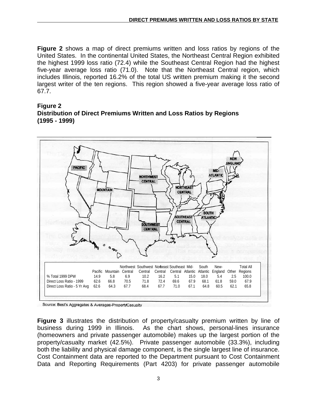**Figure 2** shows a map of direct premiums written and loss ratios by regions of the United States. In the continental United States, the Northeast Central Region exhibited the highest 1999 loss ratio (72.4) while the Southeast Central Region had the highest five-year average loss ratio (71.0). Note that the Northeast Central region, which includes Illinois, reported 16.2% of the total US written premium making it the second largest writer of the ten regions. This region showed a five-year average loss ratio of 67.7.

#### **Figure 2 Distribution of Direct Premiums Written and Loss Ratios by Regions (1995 - 1999)**



Source: Best's Aggregates & Averages-PropertyCasualty

**Figure 3** illustrates the distribution of property/casualty premium written by line of business during 1999 in Illinois. As the chart shows, personal-lines insurance (homeowners and private passenger automobile) makes up the largest portion of the property/casualty market (42.5%). Private passenger automobile (33.3%), including both the liability and physical damage component, is the single largest line of insurance. Cost Containment data are reported to the Department pursuant to Cost Containment Data and Reporting Requirements (Part 4203) for private passenger automobile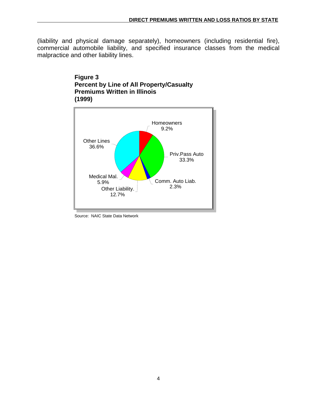(liability and physical damage separately), homeowners (including residential fire), commercial automobile liability, and specified insurance classes from the medical malpractice and other liability lines.

#### **Figure 3 Percent by Line of All Property/Casualty Premiums Written in Illinois (1999)**



Source: NAIC State Data Network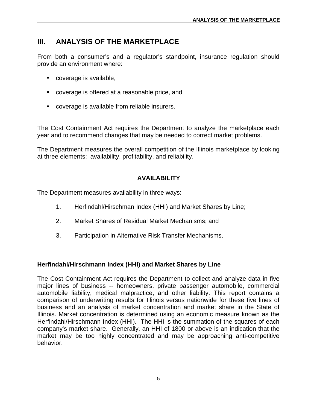### <span id="page-6-0"></span>**III. ANALYSIS OF THE MARKETPLACE**

From both a consumer's and a regulator's standpoint, insurance regulation should provide an environment where:

- coverage is available,
- coverage is offered at a reasonable price, and
- coverage is available from reliable insurers.

The Cost Containment Act requires the Department to analyze the marketplace each year and to recommend changes that may be needed to correct market problems.

The Department measures the overall competition of the Illinois marketplace by looking at three elements: availability, profitability, and reliability.

#### **AVAILABILITY**

The Department measures availability in three ways:

- 1. Herfindahl/Hirschman Index (HHI) and Market Shares by Line;
- 2. Market Shares of Residual Market Mechanisms; and
- 3. Participation in Alternative Risk Transfer Mechanisms.

#### **Herfindahl/Hirschmann Index (HHI) and Market Shares by Line**

The Cost Containment Act requires the Department to collect and analyze data in five major lines of business -- homeowners, private passenger automobile, commercial automobile liability, medical malpractice, and other liability. This report contains a comparison of underwriting results for Illinois versus nationwide for these five lines of business and an analysis of market concentration and market share in the State of Illinois. Market concentration is determined using an economic measure known as the Herfindahl/Hirschmann Index (HHI). The HHI is the summation of the squares of each company's market share. Generally, an HHI of 1800 or above is an indication that the market may be too highly concentrated and may be approaching anti-competitive behavior.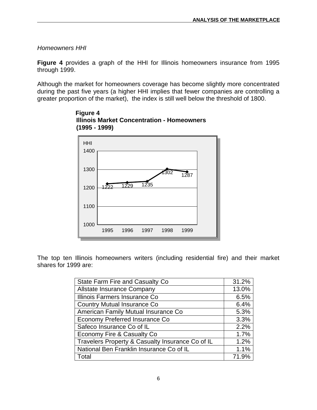*Homeowners HHI*

**Figure 4** provides a graph of the HHI for Illinois homeowners insurance from 1995 through 1999.

Although the market for homeowners coverage has become slightly more concentrated during the past five years (a higher HHI implies that fewer companies are controlling a greater proportion of the market), the index is still well below the threshold of 1800.



 **Figure 4 Illinois Market Concentration - Homeowners (1995 - 1999)**

The top ten Illinois homeowners writers (including residential fire) and their market shares for 1999 are:

| <b>State Farm Fire and Casualty Co</b>           | 31.2% |
|--------------------------------------------------|-------|
| <b>Allstate Insurance Company</b>                | 13.0% |
| Illinois Farmers Insurance Co                    | 6.5%  |
| <b>Country Mutual Insurance Co</b>               | 6.4%  |
| American Family Mutual Insurance Co              | 5.3%  |
| Economy Preferred Insurance Co                   | 3.3%  |
| Safeco Insurance Co of IL                        | 2.2%  |
| Economy Fire & Casualty Co                       | 1.7%  |
| Travelers Property & Casualty Insurance Co of IL | 1.2%  |
| National Ben Franklin Insurance Co of IL         | 1.1%  |
| Total                                            | 71.9% |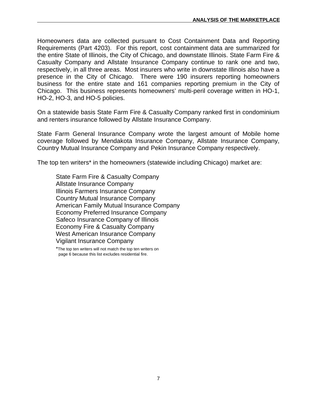Homeowners data are collected pursuant to Cost Containment Data and Reporting Requirements (Part 4203). For this report, cost containment data are summarized for the entire State of Illinois, the City of Chicago, and downstate Illinois. State Farm Fire & Casualty Company and Allstate Insurance Company continue to rank one and two, respectively, in all three areas. Most insurers who write in downstate Illinois also have a presence in the City of Chicago. There were 190 insurers reporting homeowners business for the entire state and 161 companies reporting premium in the City of Chicago. This business represents homeowners' multi-peril coverage written in HO-1, HO-2, HO-3, and HO-5 policies.

On a statewide basis State Farm Fire & Casualty Company ranked first in condominium and renters insurance followed by Allstate Insurance Company.

State Farm General Insurance Company wrote the largest amount of Mobile home coverage followed by Mendakota Insurance Company, Allstate Insurance Company, Country Mutual Insurance Company and Pekin Insurance Company respectively.

The top ten writers\* in the homeowners (statewide including Chicago) market are:

State Farm Fire & Casualty Company Allstate Insurance Company Illinois Farmers Insurance Company Country Mutual Insurance Company American Family Mutual Insurance Company Economy Preferred Insurance Company Safeco Insurance Company of Illinois Economy Fire & Casualty Company West American Insurance Company Vigilant Insurance Company

\*The top ten writers will not match the top ten writers on page 6 because this list excludes residential fire.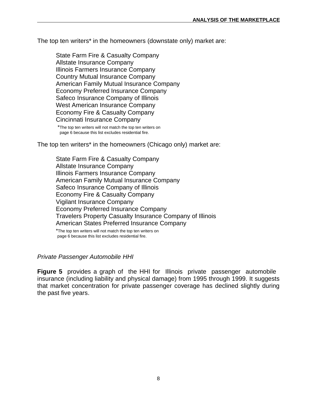The top ten writers\* in the homeowners (downstate only) market are:

State Farm Fire & Casualty Company Allstate Insurance Company Illinois Farmers Insurance Company Country Mutual Insurance Company American Family Mutual Insurance Company Economy Preferred Insurance Company Safeco Insurance Company of Illinois West American Insurance Company Economy Fire & Casualty Company Cincinnati Insurance Company

\*The top ten writers will not match the top ten writers on page 6 because this list excludes residential fire.

The top ten writers\* in the homeowners (Chicago only) market are:

State Farm Fire & Casualty Company Allstate Insurance Company Illinois Farmers Insurance Company American Family Mutual Insurance Company Safeco Insurance Company of Illinois Economy Fire & Casualty Company Vigilant Insurance Company Economy Preferred Insurance Company Travelers Property Casualty Insurance Company of Illinois American States Preferred Insurance Company

\*The top ten writers will not match the top ten writers on page 6 because this list excludes residential fire.

#### *Private Passenger Automobile HHI*

**Figure 5** provides a graph of the HHI for Illinois private passenger automobile insurance (including liability and physical damage) from 1995 through 1999. It suggests that market concentration for private passenger coverage has declined slightly during the past five years.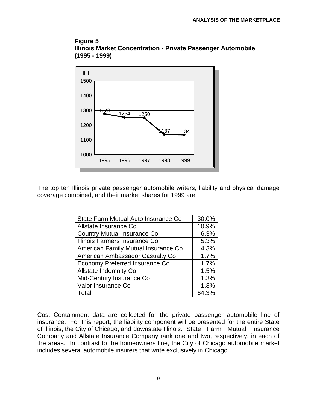



The top ten Illinois private passenger automobile writers, liability and physical damage coverage combined, and their market shares for 1999 are:

| State Farm Mutual Auto Insurance Co | 30.0% |
|-------------------------------------|-------|
| Allstate Insurance Co               | 10.9% |
| <b>Country Mutual Insurance Co</b>  | 6.3%  |
| Illinois Farmers Insurance Co       | 5.3%  |
| American Family Mutual Insurance Co | 4.3%  |
| American Ambassador Casualty Co     | 1.7%  |
| Economy Preferred Insurance Co      | 1.7%  |
| <b>Allstate Indemnity Co</b>        | 1.5%  |
| Mid-Century Insurance Co            | 1.3%  |
| Valor Insurance Co                  | 1.3%  |
| Total                               | 64.3% |

Cost Containment data are collected for the private passenger automobile line of insurance. For this report, the liability component will be presented for the entire State of Illinois, the City of Chicago, and downstate Illinois. State Farm Mutual Insurance Company and Allstate Insurance Company rank one and two, respectively, in each of the areas. In contrast to the homeowners line, the City of Chicago automobile market includes several automobile insurers that write exclusively in Chicago.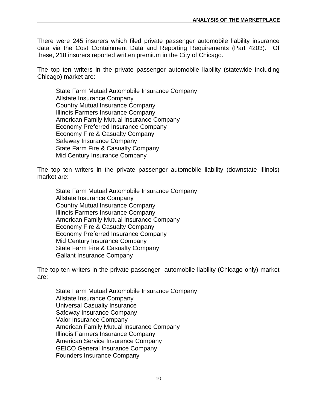There were 245 insurers which filed private passenger automobile liability insurance data via the Cost Containment Data and Reporting Requirements (Part 4203). Of these, 218 insurers reported written premium in the City of Chicago.

The top ten writers in the private passenger automobile liability (statewide including Chicago) market are:

State Farm Mutual Automobile Insurance Company Allstate Insurance Company Country Mutual Insurance Company Illinois Farmers Insurance Company American Family Mutual Insurance Company Economy Preferred Insurance Company Economy Fire & Casualty Company Safeway Insurance Company State Farm Fire & Casualty Company Mid Century Insurance Company

The top ten writers in the private passenger automobile liability (downstate Illinois) market are:

State Farm Mutual Automobile Insurance Company Allstate Insurance Company Country Mutual Insurance Company Illinois Farmers Insurance Company American Family Mutual Insurance Company Economy Fire & Casualty Company Economy Preferred Insurance Company Mid Century Insurance Company State Farm Fire & Casualty Company Gallant Insurance Company

The top ten writers in the private passenger automobile liability (Chicago only) market are:

State Farm Mutual Automobile Insurance Company Allstate Insurance Company Universal Casualty Insurance Safeway Insurance Company Valor Insurance Company American Family Mutual Insurance Company Illinois Farmers Insurance Company American Service Insurance Company GEICO General Insurance Company Founders Insurance Company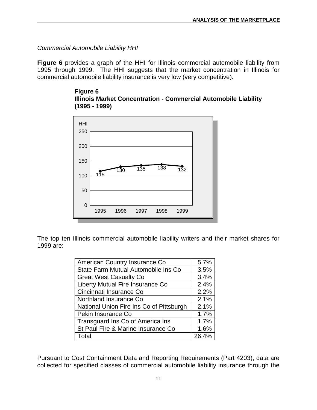*Commercial Automobile Liability HHI*

**Figure 6** provides a graph of the HHI for Illinois commercial automobile liability from 1995 through 1999. The HHI suggests that the market concentration in Illinois for commercial automobile liability insurance is very low (very competitive).

**Figure 6 Illinois Market Concentration - Commercial Automobile Liability (1995 - 1999)**



The top ten Illinois commercial automobile liability writers and their market shares for 1999 are:

| American Country Insurance Co            | 5.7%  |
|------------------------------------------|-------|
| State Farm Mutual Automobile Ins Co      | 3.5%  |
| <b>Great West Casualty Co</b>            | 3.4%  |
| Liberty Mutual Fire Insurance Co         | 2.4%  |
| Cincinnati Insurance Co                  | 2.2%  |
| Northland Insurance Co.                  | 2.1%  |
| National Union Fire Ins Co of Pittsburgh | 2.1%  |
| Pekin Insurance Co                       | 1.7%  |
| Transguard Ins Co of America Ins         | 1.7%  |
| St Paul Fire & Marine Insurance Co       | 1.6%  |
| Total                                    | 26.4% |

Pursuant to Cost Containment Data and Reporting Requirements (Part 4203), data are collected for specified classes of commercial automobile liability insurance through the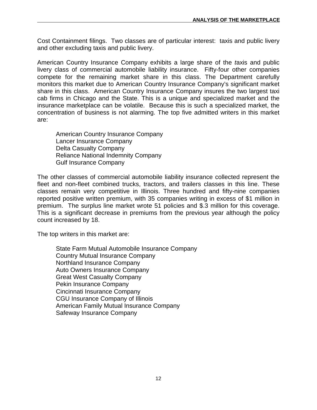Cost Containment filings. Two classes are of particular interest: taxis and public livery and other excluding taxis and public livery*.*

American Country Insurance Company exhibits a large share of the *t*axis and public livery class of commercial automobile liability insurance. Fifty-four other companies compete for the remaining market share in this class. The Department carefully monitors this market due to American Country Insurance Company's significant market share in this class. American Country Insurance Company insures the two largest taxi cab firms in Chicago and the State. This is a unique and specialized market and the insurance marketplace can be volatile. Because this is such a specialized market, the concentration of business is not alarming. The top five admitted writers in this market are:

American Country Insurance Company Lancer Insurance Company Delta Casualty Company Reliance National Indemnity Company Gulf Insurance Company

The other classes of commercial automobile liability insurance collected represent the fleet and non-fleet combined trucks, tractors, and trailers classes in this line. These classes remain very competitive in Illinois. Three hundred and fifty-nine companies reported positive written premium, with 35 companies writing in excess of \$1 million in premium. The surplus line market wrote 51 policies and \$.3 million for this coverage. This is a significant decrease in premiums from the previous year although the policy count increased by 18.

The top writers in this market are:

State Farm Mutual Automobile Insurance Company Country Mutual Insurance Company Northland Insurance Company Auto Owners Insurance Company Great West Casualty Company Pekin Insurance Company Cincinnati Insurance Company CGU Insurance Company of Illinois American Family Mutual Insurance Company Safeway Insurance Company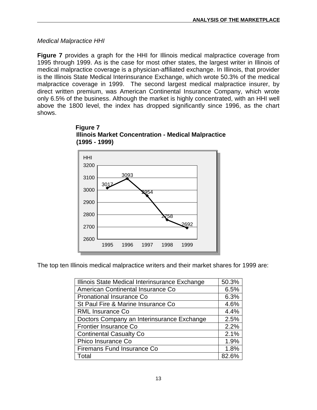*Medical Malpractice HHI*

**Figure 7** provides a graph for the HHI for Illinois medical malpractice coverage from 1995 through 1999. As is the case for most other states, the largest writer in Illinois of medical malpractice coverage is a physician-affiliated exchange. In Illinois, that provider is the Illinois State Medical Interinsurance Exchange, which wrote 50.3% of the medical malpractice coverage in 1999. The second largest medical malpractice insurer, by direct written premium, was American Continental Insurance Company, which wrote only 6.5% of the business. Although the market is highly concentrated, with an HHI well above the 1800 level, the index has dropped significantly since 1996, as the chart shows.





The top ten Illinois medical malpractice writers and their market shares for 1999 are:

| Illinois State Medical Interinsurance Exchange | 50.3% |
|------------------------------------------------|-------|
| American Continental Insurance Co              | 6.5%  |
| Pronational Insurance Co                       | 6.3%  |
| St Paul Fire & Marine Insurance Co             | 4.6%  |
| <b>RML Insurance Co</b>                        | 4.4%  |
| Doctors Company an Interinsurance Exchange     | 2.5%  |
| <b>Frontier Insurance Co</b>                   | 2.2%  |
| <b>Continental Casualty Co</b>                 | 2.1%  |
| Phico Insurance Co                             | 1.9%  |
| Firemans Fund Insurance Co                     | 1.8%  |
| Total                                          | 82.6% |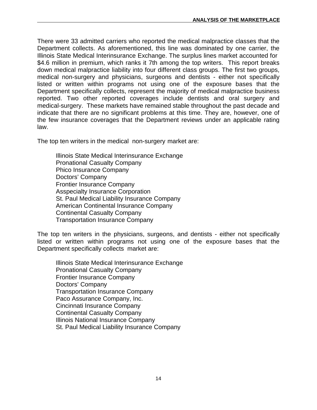There were 33 admitted carriers who reported the medical malpractice classes that the Department collects. As aforementioned, this line was dominated by one carrier, the Illinois State Medical Interinsurance Exchange. The surplus lines market accounted for \$4.6 million in premium, which ranks it 7th among the top writers. This report breaks down medical malpractice liability into four different class groups. The first two groups, medical non-surgery and physicians, surgeons and dentists - either not specifically listed or written within programs not using one of the exposure bases that the Department specifically collects, represent the majority of medical malpractice business reported. Two other reported coverages include dentists and oral surgery and medical-surgery. These markets have remained stable throughout the past decade and indicate that there are no significant problems at this time. They are, however, one of the few insurance coverages that the Department reviews under an applicable rating law.

The top ten writers in the medical non-surgery market are:

Illinois State Medical Interinsurance Exchange Pronational Casualty Company Phico Insurance Company Doctors' Company Frontier Insurance Company Asspecialty Insurance Corporation St. Paul Medical Liability Insurance Company American Continental Insurance Company Continental Casualty Company Transportation Insurance Company

The top ten writers in the physicians, surgeons, and dentists - either not specifically listed or written within programs not using one of the exposure bases that the Department specifically collects market are:

Illinois State Medical Interinsurance Exchange Pronational Casualty Company Frontier Insurance Company Doctors' Company Transportation Insurance Company Paco Assurance Company, Inc. Cincinnati Insurance Company Continental Casualty Company Illinois National Insurance Company St. Paul Medical Liability Insurance Company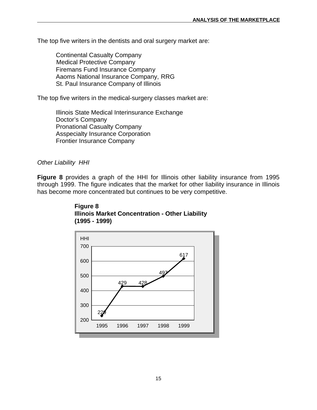The top five writers in the dentists and oral surgery market are:

Continental Casualty Company Medical Protective Company Firemans Fund Insurance Company Aaoms National Insurance Company, RRG St. Paul Insurance Company of Illinois

The top five writers in the medical-surgery classes market are:

 Illinois State Medical Interinsurance Exchange Doctor's Company Pronational Casualty Company Asspecialty Insurance Corporation Frontier Insurance Company

#### *Other Liability HHI*

**Figure 8** provides a graph of the HHI for Illinois other liability insurance from 1995 through 1999. The figure indicates that the market for other liability insurance in Illinois has become more concentrated but continues to be very competitive.



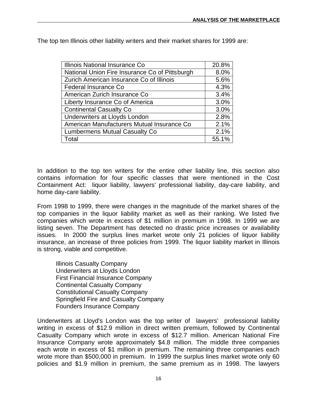| Illinois National Insurance Co                 | 20.8% |
|------------------------------------------------|-------|
| National Union Fire Insurance Co of Pittsburgh | 8.0%  |
| Zurich American Insurance Co of Illinois       | 5.6%  |
| Federal Insurance Co                           | 4.3%  |
| American Zurich Insurance Co                   | 3.4%  |
| Liberty Insurance Co of America                | 3.0%  |
| <b>Continental Casualty Co</b>                 | 3.0%  |
| Underwriters at Lloyds London                  | 2.8%  |
| American Manufacturers Mutual Insurance Co     | 2.1%  |
| <b>Lumbermens Mutual Casualty Co</b>           | 2.1%  |
| Total                                          | 55.1% |

The top ten Illinois other liability writers and their market shares for 1999 are:

In addition to the top ten writers for the entire other liability line, this section also contains information for four specific classes that were mentioned in the Cost Containment Act: liquor liability, lawyers' professional liability, day-care liability, and home day-care liability.

From 1998 to 1999, there were changes in the magnitude of the market shares of the top companies in the liquor liability market as well as their ranking. We listed five companies which wrote in excess of \$1 million in premium in 1998. In 1999 we are listing seven. The Department has detected no drastic price increases or availability issues. In 2000 the surplus lines market wrote only 21 policies of liquor liability insurance, an increase of three policies from 1999. The liquor liability market in Illinois is strong, viable and competitive.

Illinois Casualty Company Underwriters at Lloyds London First Financial Insurance Company Continental Casualty Company Constitutional Casualty Company Springfield Fire and Casualty Company Founders Insurance Company

Underwriters at Lloyd's London was the top writer of lawyers' professional liability writing in excess of \$12.9 million in direct written premium, followed by Continental Casualty Company which wrote in excess of \$12.7 million. American National Fire Insurance Company wrote approximately \$4.8 million. The middle three companies each wrote in excess of \$1 million in premium. The remaining three companies each wrote more than \$500,000 in premium. In 1999 the surplus lines market wrote only 60 policies and \$1.9 million in premium, the same premium as in 1998. The lawyers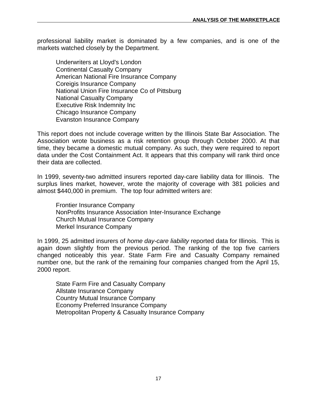professional liability market is dominated by a few companies, and is one of the markets watched closely by the Department.

Underwriters at Lloyd's London Continental Casualty Company American National Fire Insurance Company Coreigis Insurance Company National Union Fire Insurance Co of Pittsburg National Casualty Company Executive Risk Indemnity Inc Chicago Insurance Company Evanston Insurance Company

This report does not include coverage written by the Illinois State Bar Association. The Association wrote business as a risk retention group through October 2000. At that time, they became a domestic mutual company. As such, they were required to report data under the Cost Containment Act. It appears that this company will rank third once their data are collected.

In 1999, seventy-two admitted insurers reported day-care liability data for Illinois. The surplus lines market, however, wrote the majority of coverage with 381 policies and almost \$440,000 in premium. The top four admitted writers are:

Frontier Insurance Company NonProfits Insurance Association Inter-Insurance Exchange Church Mutual Insurance Company Merkel Insurance Company

In 1999, 25 admitted insurers of *home day-care liability* reported data for Illinois. This is again down slightly from the previous period. The ranking of the top five carriers changed noticeably this year. State Farm Fire and Casualty Company remained number one, but the rank of the remaining four companies changed from the April 15, 2000 report.

State Farm Fire and Casualty Company Allstate Insurance Company Country Mutual Insurance Company Economy Preferred Insurance Company Metropolitan Property & Casualty Insurance Company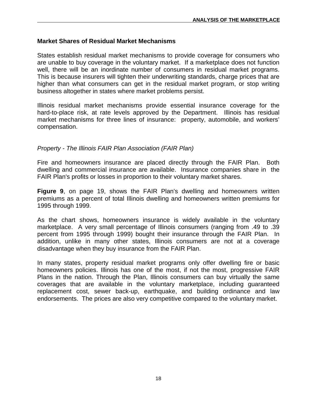#### <span id="page-19-0"></span>**Market Shares of Residual Market Mechanisms**

States establish residual market mechanisms to provide coverage for consumers who are unable to buy coverage in the voluntary market. If a marketplace does not function well, there will be an inordinate number of consumers in residual market programs. This is because insurers will tighten their underwriting standards, charge prices that are higher than what consumers can get in the residual market program, or stop writing business altogether in states where market problems persist.

Illinois residual market mechanisms provide essential insurance coverage for the hard-to-place risk, at rate levels approved by the Department. Illinois has residual market mechanisms for three lines of insurance: property, automobile, and workers' compensation.

#### *Property - The Illinois FAIR Plan Association (FAIR Plan)*

Fire and homeowners insurance are placed directly through the FAIR Plan. Both dwelling and commercial insurance are available. Insurance companies share in the FAIR Plan's profits or losses in proportion to their voluntary market shares.

**Figure 9**, on page 19, shows the FAIR Plan's dwelling and homeowners written premiums as a percent of total Illinois dwelling and homeowners written premiums for 1995 through 1999.

As the chart shows, homeowners insurance is widely available in the voluntary marketplace. A very small percentage of Illinois consumers (ranging from .49 to .39 percent from 1995 through 1999) bought their insurance through the FAIR Plan. In addition, unlike in many other states, Illinois consumers are not at a coverage disadvantage when they buy insurance from the FAIR Plan.

In many states, property residual market programs only offer dwelling fire or basic homeowners policies. Illinois has one of the most, if not the most, progressive FAIR Plans in the nation. Through the Plan, Illinois consumers can buy virtually the same coverages that are available in the voluntary marketplace, including guaranteed replacement cost, sewer back-up, earthquake, and building ordinance and law endorsements. The prices are also very competitive compared to the voluntary market.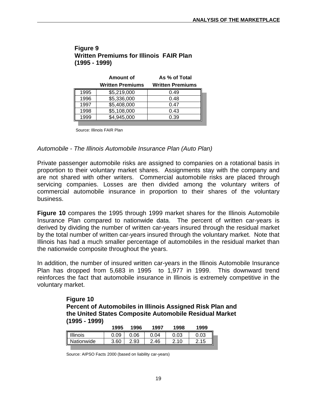| Figure 9                                       |  |
|------------------------------------------------|--|
| <b>Written Premiums for Illinois FAIR Plan</b> |  |
| $(1995 - 1999)$                                |  |

|      | Amount of               | As % of Total           |
|------|-------------------------|-------------------------|
|      | <b>Written Premiums</b> | <b>Written Premiums</b> |
| 1995 | \$5,219,000             | 0.49                    |
| 1996 | \$5,336,000             | 0.48                    |
| 1997 | \$5,408,000             | 0.47                    |
| 1998 | \$5,108,000             | 0.43                    |
| 999  | \$4,945,000             | 0.39                    |

Source: Illinois FAIR Plan

#### *Automobile - The Illinois Automobile Insurance Plan (Auto Plan)*

Private passenger automobile risks are assigned to companies on a rotational basis in proportion to their voluntary market shares. Assignments stay with the company and are not shared with other writers. Commercial automobile risks are placed through servicing companies. Losses are then divided among the voluntary writers of commercial automobile insurance in proportion to their shares of the voluntary business.

**Figure 10** compares the 1995 through 1999 market shares for the Illinois Automobile Insurance Plan compared to nationwide data. The percent of written car-years is derived by dividing the number of written car-years insured through the residual market by the total number of written car-years insured through the voluntary market. Note that Illinois has had a much smaller percentage of automobiles in the residual market than the nationwide composite throughout the years.

In addition, the number of insured written car-years in the Illinois Automobile Insurance Plan has dropped from 5,683 in 1995 to 1,977 in 1999. This downward trend reinforces the fact that automobile insurance in Illinois is extremely competitive in the voluntary market.

> **Figure 10 Percent of Automobiles in Illinois Assigned Risk Plan and the United States Composite Automobile Residual Market (1995 - 1999)**

| 1995 | 1996 |           |      | 1999         |
|------|------|-----------|------|--------------|
| 0.09 | 0.06 | 04        | 0.03 | 0.03         |
| 3.60 | 2.93 | 2.46<br>ົ | 2.10 | 2.15         |
|      |      |           |      | 1997<br>1998 |

Source: AIPSO Facts 2000 (based on liability car-years)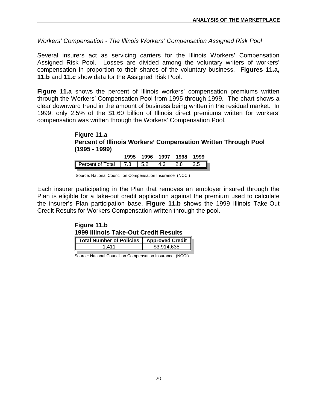*Workers' Compensation - The Illinois Workers' Compensation Assigned Risk Pool*

Several insurers act as servicing carriers for the Illinois Workers' Compensation Assigned Risk Pool. Losses are divided among the voluntary writers of workers' compensation in proportion to their shares of the voluntary business. **Figures 11.a, 11.b** and **11.c** show data for the Assigned Risk Pool.

**Figure 11.a** shows the percent of Illinois workers' compensation premiums written through the Workers' Compensation Pool from 1995 through 1999. The chart shows a clear downward trend in the amount of business being written in the residual market. In 1999, only 2.5% of the \$1.60 billion of Illinois direct premiums written for workers' compensation was written through the Workers' Compensation Pool.

#### **Figure 11.a Percent of Illinois Workers' Compensation Written Through Pool (1995 - 1999)**

|                      | 1995 | 1996 | 1997 | 1998 | 1999 |
|----------------------|------|------|------|------|------|
| Percent of Total 7.8 |      | 5.2  | 4.3  | 2.8  |      |

Source: National Council on Compensation Insurance (NCCI)

Each insurer participating in the Plan that removes an employer insured through the Plan is eligible for a take-out credit application against the premium used to calculate the insurer's Plan participation base. **Figure 11.b** shows the 1999 Illinois Take-Out Credit Results for Workers Compensation written through the pool.

| Figure 11.b |                                              |
|-------------|----------------------------------------------|
|             | <b>1999 Illinois Take-Out Credit Results</b> |

| Total Number of Policies   Approved Credit |             |
|--------------------------------------------|-------------|
| <b>411</b>                                 | \$3.914.635 |

Source: National Council on Compensation Insurance (NCCI)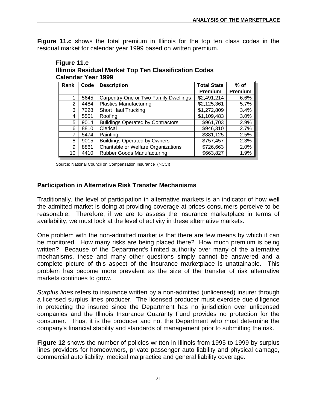<span id="page-22-0"></span>**Figure 11.c** shows the total premium in Illinois for the top ten class codes in the residual market for calendar year 1999 based on written premium.

| <b>Figure 11.C</b>                                    |  |
|-------------------------------------------------------|--|
| Illinois Residual Market Top Ten Classification Codes |  |
| <b>Calendar Year 1999</b>                             |  |

| Rank | Code | <b>Description</b>                       | <b>Total State</b> | $%$ of  |
|------|------|------------------------------------------|--------------------|---------|
|      |      |                                          | <b>Premium</b>     | Premium |
|      | 5645 | Carpentry-One or Two Family Dwellings    | \$2,491,214        | 6.6%    |
| 2    | 4484 | <b>Plastics Manufacturing</b>            | \$2,125,361        | 5.7%    |
| 3    | 7228 | <b>Short Haul Trucking</b>               | \$1,272,809        | 3.4%    |
| 4    | 5551 | Roofing                                  | \$1,109,483        | 3.0%    |
| 5    | 9014 | <b>Buildings Operated by Contractors</b> | \$961,703          | 2.9%    |
| 6    | 8810 | Clerical                                 | \$946,310          | 2.7%    |
|      | 5474 | Painting                                 | \$881,125          | 2.5%    |
| 8    | 9015 | <b>Buildings Operated by Owners</b>      | \$757,457          | 2.3%    |
| 9    | 8861 | Charitable or Welfare Organizations      | \$726,663          | 2.0%    |
| 10   | 4410 | <b>Rubber Goods Manufacturing</b>        | \$663,827          | 1.9%    |

Source: National Council on Compensation Insurance (NCCI)

**Figure 11.c**

#### **Participation in Alternative Risk Transfer Mechanisms**

Traditionally, the level of participation in alternative markets is an indicator of how well the admitted market is doing at providing coverage at prices consumers perceive to be reasonable. Therefore, if we are to assess the insurance marketplace in terms of availability, we must look at the level of activity in these alternative markets.

One problem with the non-admitted market is that there are few means by which it can be monitored. How many risks are being placed there? How much premium is being written? Because of the Department's limited authority over many of the alternative mechanisms, these and many other questions simply cannot be answered and a complete picture of this aspect of the insurance marketplace is unattainable. This problem has become more prevalent as the size of the transfer of risk alternative markets continues to grow.

*Surplus lines* refers to insurance written by a non-admitted (unlicensed) insurer through a licensed surplus lines producer. The licensed producer must exercise due diligence in protecting the insured since the Department has no jurisdiction over unlicensed companies and the Illinois Insurance Guaranty Fund provides no protection for the consumer. Thus, it is the producer and not the Department who must determine the company's financial stability and standards of management prior to submitting the risk.

**Figure 12** shows the number of policies written in Illinois from 1995 to 1999 by surplus lines providers for homeowners, private passenger auto liability and physical damage, commercial auto liability, medical malpractice and general liability coverage.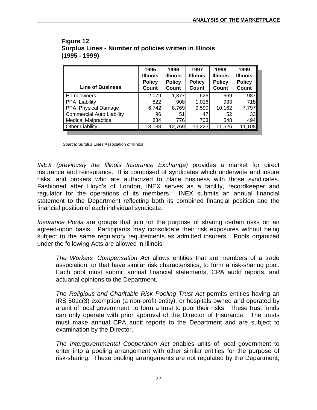| <b>Line of Business</b>          | 1995<br><b>Illinois</b><br><b>Policy</b><br>Count | 1996<br><b>Illinois</b><br><b>Policy</b><br>Count | 1997<br><b>Illinois</b><br><b>Policy</b><br>Count | 1998<br><b>Illinois</b><br><b>Policy</b><br>Count | 1999<br><b>Illinois</b><br><b>Policy</b><br>Count |
|----------------------------------|---------------------------------------------------|---------------------------------------------------|---------------------------------------------------|---------------------------------------------------|---------------------------------------------------|
| Homeowners                       | 2,079                                             | 1,377                                             | 626                                               | 669                                               | 987                                               |
| <b>PPA Liability</b>             | 822                                               | 908                                               | 1,016                                             | 933                                               | 718                                               |
| PPA Physical Damage              | 6,742                                             | 8,769                                             | 9,590                                             | 10,162                                            | 7,797                                             |
| <b>Commercial Auto Liability</b> | 96                                                | 51                                                | 47                                                | 52                                                | 33 <sub>l</sub>                                   |
| <b>Medical Malpractice</b>       | 834                                               | 776                                               | 703                                               | 548                                               | 494                                               |
| <b>Other Liability</b>           | 13,188                                            | 12,769                                            | 13,223                                            | 11,526                                            | 11,108                                            |

#### **Figure 12 Surplus Lines - Number of policies written in Illinois (1995 - 1999)**

Source: Surplus Lines Association of Illinois

*INEX (previously the Illinois Insurance Exchange)* provides a market for direct insurance and reinsurance. It is comprised of syndicates which underwrite and insure risks, and brokers who are authorized to place business with those syndicates. Fashioned after Lloyd's of London, INEX serves as a facility, recordkeeper and regulator for the operations of its members. INEX submits an annual financial statement to the Department reflecting both its combined financial position and the financial position of each individual syndicate.

*Insurance Pools* are groups that join for the purpose of sharing certain risks on an agreed-upon basis. Participants may consolidate their risk exposures without being subject to the same regulatory requirements as admitted insurers. Pools organized under the following Acts are allowed in Illinois:

*The Workers' Compensation Act* allows entities that are members of a trade association, or that have similar risk characteristics, to form a risk-sharing pool. Each pool must submit annual financial statements, CPA audit reports, and actuarial opinions to the Department.

*The Religious and Charitable Risk Pooling Trust Act* permits entities having an IRS 501c(3) exemption (a non-profit entity), or hospitals owned and operated by a unit of local government, to form a trust to pool their risks. These trust funds can only operate with prior approval of the Director of Insurance. The trusts must make annual CPA audit reports to the Department and are subject to examination by the Director.

*The Intergovernmental Cooperation Act* enables units of local government to enter into a pooling arrangement with other similar entities for the purpose of risk-sharing. These pooling arrangements are not regulated by the Department;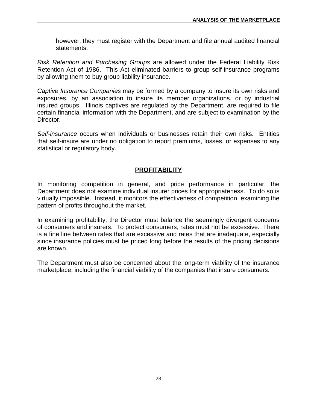<span id="page-24-0"></span>however, they must register with the Department and file annual audited financial statements.

*Risk Retention and Purchasing Groups* are allowed under the Federal Liability Risk Retention Act of 1986. This Act eliminated barriers to group self-insurance programs by allowing them to buy group liability insurance.

*Captive Insurance Companies* may be formed by a company to insure its own risks and exposures, by an association to insure its member organizations, or by industrial insured groups. Illinois captives are regulated by the Department, are required to file certain financial information with the Department, and are subject to examination by the Director.

*Self-insurance* occurs when individuals or businesses retain their own risks. Entities that self-insure are under no obligation to report premiums, losses, or expenses to any statistical or regulatory body.

#### **PROFITABILITY**

In monitoring competition in general, and price performance in particular, the Department does not examine individual insurer prices for appropriateness. To do so is virtually impossible. Instead, it monitors the effectiveness of competition, examining the pattern of profits throughout the market.

In examining profitability, the Director must balance the seemingly divergent concerns of consumers and insurers. To protect consumers, rates must not be excessive. There is a fine line between rates that are excessive and rates that are inadequate, especially since insurance policies must be priced long before the results of the pricing decisions are known.

The Department must also be concerned about the long-term viability of the insurance marketplace, including the financial viability of the companies that insure consumers.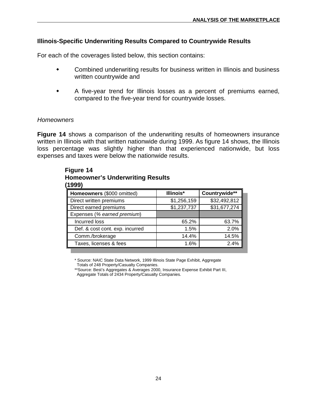#### <span id="page-25-0"></span>**Illinois-Specific Underwriting Results Compared to Countrywide Results**

For each of the coverages listed below, this section contains:

- $\bullet$  Combined underwriting results for business written in Illinois and business written countrywide and
- $\ddot{\bullet}$  A five-year trend for Illinois losses as a percent of premiums earned, compared to the five-year trend for countrywide losses.

#### *Homeowners*

**Figure 14** shows a comparison of the underwriting results of homeowners insurance written in Illinois with that written nationwide during 1999. As figure 14 shows, the Illinois loss percentage was slightly higher than that experienced nationwide, but loss expenses and taxes were below the nationwide results.

| Homeowners (\$000 omitted)      | Illinois*   | Countrywide** |
|---------------------------------|-------------|---------------|
| Direct written premiums         | \$1,256,159 | \$32,492,812  |
| Direct earned premiums          | \$1,237,737 | \$31,677,274  |
| Expenses (% earned premium)     |             |               |
| Incurred loss                   | 65.2%       | 63.7%         |
| Def. & cost cont. exp. incurred | 1.5%        | 2.0%          |
| Comm./brokerage                 | 14.4%       | 14.5%         |
| Taxes, licenses & fees          | 1.6%        | 2.4%          |

# **Figure 14 Homeowner's Underwriting Results**

\* Source: NAIC State Data Network, 1999 Illinois State Page Exhibit, Aggregate Totals of 248 Property/Casualty Companies.

\*\*Source: Best's Aggregates & Averages 2000, Insurance Expense Exhibit Part III, Aggregate Totals of 2434 Property/Casualty Companies.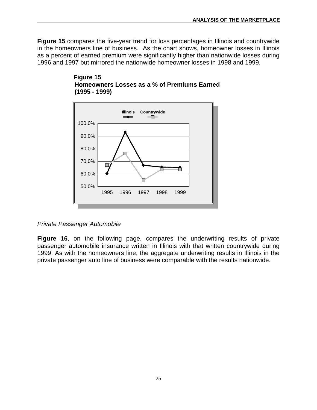**Figure 15** compares the five-year trend for loss percentages in Illinois and countrywide in the homeowners line of business. As the chart shows, homeowner losses in Illinois as a percent of earned premium were significantly higher than nationwide losses during 1996 and 1997 but mirrored the nationwide homeowner losses in 1998 and 1999.





#### *Private Passenger Automobile*

**Figure 16**, on the following page, compares the underwriting results of private passenger automobile insurance written in Illinois with that written countrywide during 1999. As with the homeowners line, the aggregate underwriting results in Illinois in the private passenger auto line of business were comparable with the results nationwide.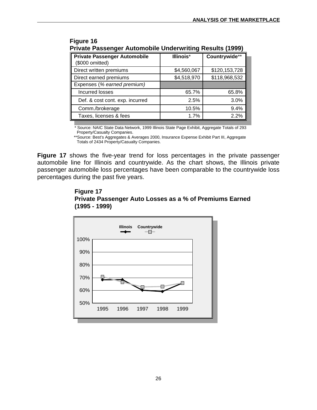| Private Passenger Automobile Underwriting Results (<br>19991 |               |  |  |  |  |
|--------------------------------------------------------------|---------------|--|--|--|--|
| Illinois*                                                    | Countrywide** |  |  |  |  |
| \$4,560,067                                                  | \$120,153,728 |  |  |  |  |
| \$4,518,970                                                  | \$118,968,532 |  |  |  |  |
|                                                              |               |  |  |  |  |
| 65.7%                                                        | 65.8%         |  |  |  |  |
| 2.5%                                                         | 3.0%          |  |  |  |  |
| 10.5%                                                        | 9.4%          |  |  |  |  |
| $1.7\%$                                                      | 2.2%          |  |  |  |  |
|                                                              |               |  |  |  |  |

 **Figure 16 Private Passenger Automobile Underwriting Results (1999)**

\* Source: NAIC State Data Network, 1999 Illinois State Page Exhibit, Aggregate Totals of 293 Property/Casualty Companies.

 \*\*Source: Best's Aggregates & Averages 2000, Insurance Expense Exhibit Part III, Aggregate Totals of 2434 Property/Casualty Companies.

**Figure 17** shows the five-year trend for loss percentages in the private passenger automobile line for Illinois and countrywide. As the chart shows, the Illinois private passenger automobile loss percentages have been comparable to the countrywide loss percentages during the past five years.



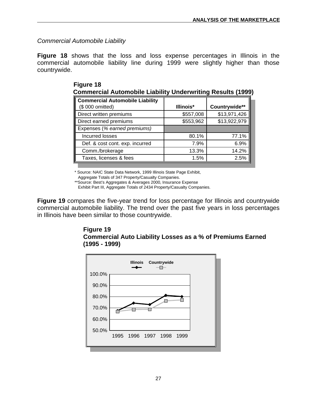*Commercial Automobile Liability*

**Figure 18** shows that the loss and loss expense percentages in Illinois in the commercial automobile liability line during 1999 were slightly higher than those countrywide.

| <b>Commercial Automobile Liability</b> |           |               |  |  |
|----------------------------------------|-----------|---------------|--|--|
| (\$ 000 omitted)                       | Illinois* | Countrywide** |  |  |
| Direct written premiums                | \$557,008 | \$13,971,426  |  |  |
| Direct earned premiums                 | \$553,962 | \$13,922,979  |  |  |
| Expenses (% earned premiums)           |           |               |  |  |
| Incurred losses                        | 80.1%     | 77.1%         |  |  |
| Def. & cost cont. exp. incurred        | 7.9%      | 6.9%          |  |  |
| Comm./brokerage                        | 13.3%     | 14.2%         |  |  |
| Taxes, licenses & fees                 | 1.5%      | 2.5%          |  |  |

 **Figure 18 Commercial Automobile Liability Underwriting Results (1999)**

\* Source: NAIC State Data Network, 1999 Illinois State Page Exhibit,

Aggregate Totals of 347 Property/Casualty Companies.

\*\*Source: Best's Aggregates & Averages 2000, Insurance Expense

Exhibit Part III, Aggregate Totals of 2434 Property/Casualty Companies.

**Figure 19** compares the five-year trend for loss percentage for Illinois and countrywide commercial automobile liability. The trend over the past five years in loss percentages in Illinois have been similar to those countrywide.

#### **Figure 19 Commercial Auto Liability Losses as a % of Premiums Earned (1995 - 1999)**

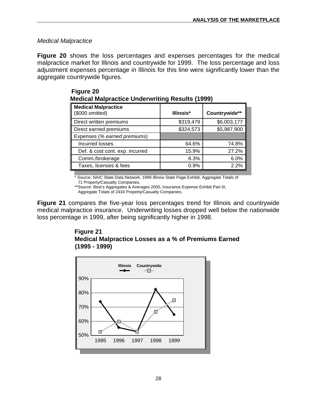#### *Medical Malpractice*

**Figure 20** shows the loss percentages and expenses percentages for the medical malpractice market for Illinois and countrywide for 1999. The loss percentage and loss adjustment expenses percentage in Illinois for this line were significantly lower than the aggregate countrywide figures.

| Medical Malpractice Underwriting Results (1999) |           |               |  |  |
|-------------------------------------------------|-----------|---------------|--|--|
| <b>Medical Malpractice</b><br>(\$000 omitted)   | Illinois* | Countrywide** |  |  |
| Direct written premiums                         | \$319,479 | \$6,003,177   |  |  |
| Direct earned premiums                          | \$324,573 | \$5,987,900   |  |  |
| Expenses (% earned premiums)                    |           |               |  |  |
| Incurred losses                                 | 64.6%     | 74.8%         |  |  |
| Def. & cost cont. exp. incurred                 | 15.9%     | 27.2%         |  |  |
| Comm./brokerage                                 | 6.3%      | 6.0%          |  |  |
| Taxes, licenses & fees                          | 0.9%      | 2.2%          |  |  |

| Figure 20 |                                                        |  |
|-----------|--------------------------------------------------------|--|
|           | <b>Medical Malpractice Underwriting Results (1999)</b> |  |

Source: NAIC State Data Network, 1999 Illinois State Page Exhibit, Aggregate Totals of 71 Property/Casualty Companies.

\*\*Source: Best's Aggregates & Averages 2000, Insurance Expense Exhibit Part III, Aggregate Totals of 2434 Property/Casualty Companies.

**Figure 21** compares the five-year loss percentages trend for Illinois and countrywide medical malpractice insurance. Underwriting losses dropped well below the nationwide loss percentage in 1999, after being significantly higher in 1998.



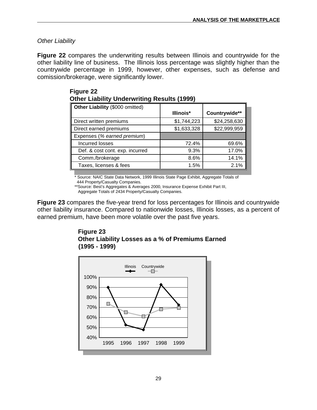#### *Other Liability*

**Figure 22** compares the underwriting results between Illinois and countrywide for the other liability line of business. The Illinois loss percentage was slightly higher than the countrywide percentage in 1999, however, other expenses, such as defense and comission/brokerage, were significantly lower.

| Other Liability (\$000 omitted) |             |               |  |  |  |  |
|---------------------------------|-------------|---------------|--|--|--|--|
|                                 | Illinois*   | Countrywide** |  |  |  |  |
| Direct written premiums         | \$1,744,223 | \$24,258,630  |  |  |  |  |
| Direct earned premiums          | \$1,633,328 | \$22,999,959  |  |  |  |  |
| Expenses (% earned premium)     |             |               |  |  |  |  |
| Incurred losses                 | 72.4%       | 69.6%         |  |  |  |  |
| Def. & cost cont. exp. incurred | 9.3%        | 17.0%         |  |  |  |  |
| Comm./brokerage                 | 8.6%        | 14.1%         |  |  |  |  |
| Taxes, licenses & fees          | 1.5%        | 2.1%          |  |  |  |  |
|                                 |             |               |  |  |  |  |

| Figure 22                                          |  |  |
|----------------------------------------------------|--|--|
| <b>Other Liability Underwriting Results (1999)</b> |  |  |

Source: NAIC State Data Network, 1999 Illinois State Page Exhibit, Aggregate Totals of 444 Property/Casualty Companies.

\*\*Source: Best's Aggregates & Averages 2000, Insurance Expense Exhibit Part III,

Aggregate Totals of 2434 Property/Casualty Companies.

**Figure 23** compares the five-year trend for loss percentages for Illinois and countrywide other liability insurance. Compared to nationwide losses, Illinois losses, as a percent of earned premium, have been more volatile over the past five years.

#### **Figure 23 Other Liability Losses as a % of Premiums Earned (1995 - 1999)**

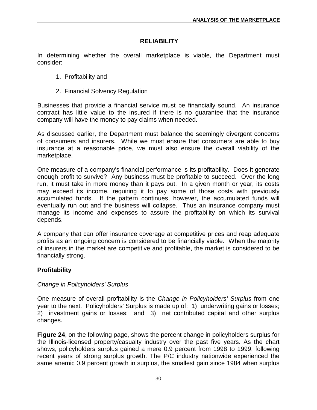#### **RELIABILITY**

<span id="page-31-0"></span>In determining whether the overall marketplace is viable, the Department must consider:

- 1. Profitability and
- 2. Financial Solvency Regulation

Businesses that provide a financial service must be financially sound. An insurance contract has little value to the insured if there is no guarantee that the insurance company will have the money to pay claims when needed.

As discussed earlier, the Department must balance the seemingly divergent concerns of consumers and insurers. While we must ensure that consumers are able to buy insurance at a reasonable price, we must also ensure the overall viability of the marketplace.

One measure of a company's financial performance is its profitability. Does it generate enough profit to survive? Any business must be profitable to succeed. Over the long run, it must take in more money than it pays out. In a given month or year, its costs may exceed its income, requiring it to pay some of those costs with previously accumulated funds. If the pattern continues, however, the accumulated funds will eventually run out and the business will collapse. Thus an insurance company must manage its income and expenses to assure the profitability on which its survival depends.

A company that can offer insurance coverage at competitive prices and reap adequate profits as an ongoing concern is considered to be financially viable. When the majority of insurers in the market are competitive and profitable, the market is considered to be financially strong.

#### **Profitability**

#### *Change in Policyholders' Surplus*

One measure of overall profitability is the *Change in Policyholders' Surplus* from one year to the next. Policyholders' Surplus is made up of: 1) underwriting gains or losses; 2) investment gains or losses; and 3) net contributed capital and other surplus changes.

**Figure 24**, on the following page, shows the percent change in policyholders surplus for the Illinois-licensed property/casualty industry over the past five years. As the chart shows, policyholders surplus gained a mere 0.9 percent from 1998 to 1999, following recent years of strong surplus growth. The P/C industry nationwide experienced the same anemic 0.9 percent growth in surplus, the smallest gain since 1984 when surplus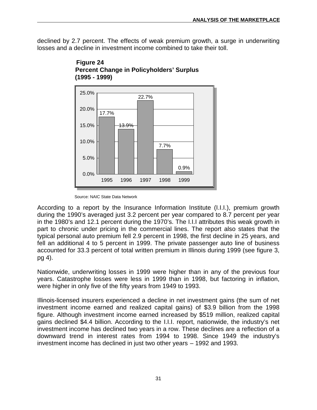declined by 2.7 percent. The effects of weak premium growth, a surge in underwriting losses and a decline in investment income combined to take their toll.



 **Figure 24 Percent Change in Policyholders' Surplus (1995 - 1999)**

According to a report by the Insurance Information Institute (I.I.I.), premium growth during the 1990's averaged just 3.2 percent per year compared to 8.7 percent per year in the 1980's and 12.1 percent during the 1970's. The I.I.I attributes this weak growth in part to chronic under pricing in the commercial lines. The report also states that the typical personal auto premium fell 2.9 percent in 1998, the first decline in 25 years, and fell an additional 4 to 5 percent in 1999. The private passenger auto line of business accounted for 33.3 percent of total written premium in Illinois during 1999 (see figure 3, pg 4).

Nationwide, underwriting losses in 1999 were higher than in any of the previous four years. Catastrophe losses were less in 1999 than in 1998, but factoring in inflation, were higher in only five of the fifty years from 1949 to 1993.

Illinois-licensed insurers experienced a decline in net investment gains (the sum of net investment income earned and realized capital gains) of \$3.9 billion from the 1998 figure. Although investment income earned increased by \$519 million, realized capital gains declined \$4.4 billion. According to the I.I.I. report, nationwide, the industry's net investment income has declined two years in a row. These declines are a reflection of a downward trend in interest rates from 1994 to 1998. Since 1949 the industry's investment income has declined in just two other years – 1992 and 1993.

Source: NAIC State Data Network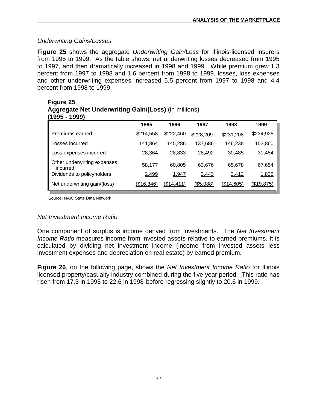#### *Underwriting Gains/Losses*

**Figure 25** shows the aggregate *Underwriting Gain/Loss* for Illinois-licensed insurers from 1995 to 1999. As the table shows, net underwriting losses decreased from 1995 to 1997, and then dramatically increased in 1998 and 1999. While premium grew 1.3 percent from 1997 to 1998 and 1.6 percent from 1998 to 1999, losses, loss expenses and other underwriting expenses increased 5.5 percent from 1997 to 1998 and 4.4 percent from 1998 to 1999.

|                                         | 1995       | 1996       | 1997       | 1998       | 1999       |
|-----------------------------------------|------------|------------|------------|------------|------------|
| Premiums earned                         | \$214,558  | \$222,460  | \$228,209  | \$231,208  | \$234,928  |
| Losses incurred                         | 141,864    | 145,286    | 137,686    | 146,238    | 153,860    |
| Loss expenses incurred                  | 28,364     | 28,833     | 28,492     | 30,485     | 31,454     |
| Other underwriting expenses<br>incurred | 58,177     | 60,805     | 63,676     | 65,678     | 67,654     |
| Dividends to policyholders              | 2,499      | 1,947      | 3,443      | 3,412      | 1,835      |
| Net underwriting gain/(loss)            | (\$16,346) | (\$14,411) | ( \$5,088) | (\$14,605) | (\$19,875) |

# **Figure 25 Aggregate Net Underwriting Gain/(Loss)** (in millions)

Source: NAIC State Data Network

#### *Net Investment Income Ratio*

One component of surplus is income derived from investments. The *Net Investment Income Ratio* measures income from invested assets relative to earned premiums. It is calculated by dividing net investment income (income from invested assets less investment expenses and depreciation on real estate) by earned premium.

**Figure 26**, on the following page, shows the *Net Investment Income Ratio* for Illinois licensed property/casualty industry combined during the five year period. This ratio has risen from 17.3 in 1995 to 22.6 in 1998 before regressing slightly to 20.6 in 1999.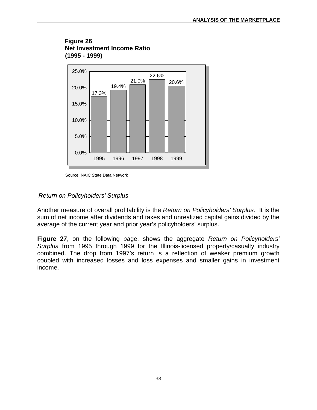#### **Figure 26 Net Investment Income Ratio (1995 - 1999)**



Source: NAIC State Data Network

#### *Return on Policyholders' Surplus*

Another measure of overall profitability is the *Return on Policyholders' Surplus*. It is the sum of net income after dividends and taxes and unrealized capital gains divided by the average of the current year and prior year's policyholders' surplus.

**Figure 27**, on the following page, shows the aggregate *Return on Policyholders' Surplus* from 1995 through 1999 for the Illinois-licensed property/casualty industry combined. The drop from 1997's return is a reflection of weaker premium growth coupled with increased losses and loss expenses and smaller gains in investment income.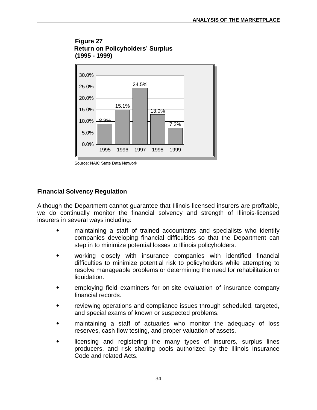<span id="page-35-0"></span>



Source: NAIC State Data Network

#### **Financial Solvency Regulation**

Although the Department cannot guarantee that Illinois-licensed insurers are profitable, we do continually monitor the financial solvency and strength of Illinois-licensed insurers in several ways including:

- $\ddot{\bullet}$  maintaining a staff of trained accountants and specialists who identify companies developing financial difficulties so that the Department can step in to minimize potential losses to Illinois policyholders.
- $\ddot{\bullet}$  working closely with insurance companies with identified financial difficulties to minimize potential risk to policyholders while attempting to resolve manageable problems or determining the need for rehabilitation or liquidation.
- $\ddot{\bullet}$  employing field examiners for on-site evaluation of insurance company financial records.
- $\ddot{\bullet}$  reviewing operations and compliance issues through scheduled, targeted, and special exams of known or suspected problems.
- $\ddot{\bullet}$  maintaining a staff of actuaries who monitor the adequacy of loss reserves, cash flow testing, and proper valuation of assets.
- $\ddot{\bullet}$  licensing and registering the many types of insurers, surplus lines producers, and risk sharing pools authorized by the Illinois Insurance Code and related Acts.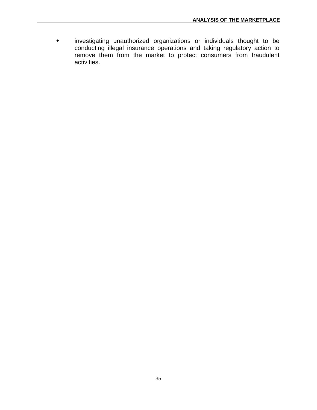$\bullet$  investigating unauthorized organizations or individuals thought to be conducting illegal insurance operations and taking regulatory action to remove them from the market to protect consumers from fraudulent activities.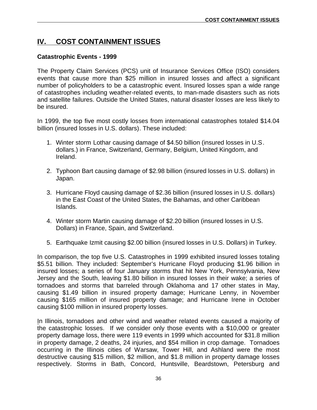# <span id="page-37-0"></span>**IV. COST CONTAINMENT ISSUES**

#### **Catastrophic Events - 1999**

The Property Claim Services (PCS) unit of Insurance Services Office (ISO) considers events that cause more than \$25 million in insured losses and affect a significant number of policyholders to be a catastrophic event. Insured losses span a wide range of catastrophes including weather-related events, to man-made disasters such as riots and satellite failures. Outside the United States, natural disaster losses are less likely to be insured.

In 1999, the top five most costly losses from international catastrophes totaled \$14.04 billion (insured losses in U.S. dollars). These included:

- 1. Winter storm Lothar causing damage of \$4.50 billion (insured losses in U.S. dollars.) in France, Switzerland, Germany, Belgium, United Kingdom, and Ireland.
- 2. Typhoon Bart causing damage of \$2.98 billion (insured losses in U.S. dollars) in Japan.
- 3. Hurricane Floyd causing damage of \$2.36 billion (insured losses in U.S. dollars) in the East Coast of the United States, the Bahamas, and other Caribbean Islands.
- 4. Winter storm Martin causing damage of \$2.20 billion (insured losses in U.S. Dollars) in France, Spain, and Switzerland.
- 5. Earthquake Izmit causing \$2.00 billion (insured losses in U.S. Dollars) in Turkey.

In comparison, the top five U.S. Catastrophes in 1999 exhibited insured losses totaling \$5.51 billion. They included: September's Hurricane Floyd producing \$1.96 billion in insured losses; a series of four January storms that hit New York, Pennsylvania, New Jersey and the South, leaving \$1.80 billion in insured losses in their wake; a series of tornadoes and storms that barreled through Oklahoma and 17 other states in May, causing \$1.49 billion in insured property damage; Hurricane Lenny, in November causing \$165 million of insured property damage; and Hurricane Irene in October causing \$100 million in insured property losses.

In Illinois, tornadoes and other wind and weather related events caused a majority of the catastrophic losses. If we consider only those events with a \$10,000 or greater property damage loss, there were 119 events in 1999 which accounted for \$31.8 million in property damage, 2 deaths, 24 injuries, and \$54 million in crop damage. Tornadoes occurring in the Illinois cities of Warsaw, Tower Hill, and Ashland were the most destructive causing \$15 million, \$2 million, and \$1.8 million in property damage losses respectively. Storms in Bath, Concord, Huntsville, Beardstown, Petersburg and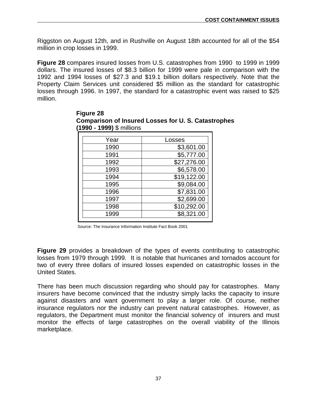Riggston on August 12th, and in Rushville on August 18th accounted for all of the \$54 million in crop losses in 1999.

**Figure 28** compares insured losses from U.S. catastrophes from 1990 to 1999 in 1999 dollars. The insured losses of \$8.3 billion for 1999 were pale in comparison with the 1992 and 1994 losses of \$27.3 and \$19.1 billion dollars respectively. Note that the Property Claim Services unit considered \$5 million as the standard for catastrophic losses through 1996. In 1997, the standard for a catastrophic event was raised to \$25 million.

| Year | Losses      |
|------|-------------|
| 1990 | \$3,601.00  |
| 1991 | \$5,777.00  |
| 1992 | \$27,276.00 |
| 1993 | \$6,578.00  |
| 1994 | \$19,122.00 |
| 1995 | \$9,084.00  |
| 1996 | \$7,831.00  |
| 1997 | \$2,699.00  |
| 1998 | \$10,292.00 |
| 1999 | \$8,321.00  |
|      |             |

 **Figure 28 Comparison of Insured Losses for U. S. Catastrophes (1990 - 1999)** \$ millions

Source: The Insurance Information Institute Fact Book 2001

**Figure 29** provides a breakdown of the types of events contributing to catastrophic losses from 1979 through 1999. It is notable that hurricanes and tornados account for two of every three dollars of insured losses expended on catastrophic losses in the United States.

There has been much discussion regarding who should pay for catastrophes. Many insurers have become convinced that the industry simply lacks the capacity to insure against disasters and want government to play a larger role. Of course, neither insurance regulators nor the industry can prevent natural catastrophes. However, as regulators, the Department must monitor the financial solvency of insurers and must monitor the effects of large catastrophes on the overall viability of the Illinois marketplace.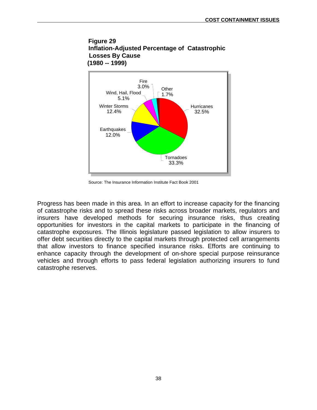



Source: The Insurance Information Institute Fact Book 2001

Progress has been made in this area. In an effort to increase capacity for the financing of catastrophe risks and to spread these risks across broader markets, regulators and insurers have developed methods for securing insurance risks, thus creating opportunities for investors in the capital markets to participate in the financing of catastrophe exposures. The Illinois legislature passed legislation to allow insurers to offer debt securities directly to the capital markets through protected cell arrangements that allow investors to finance specified insurance risks. Efforts are continuing to enhance capacity through the development of on-shore special purpose reinsurance vehicles and through efforts to pass federal legislation authorizing insurers to fund catastrophe reserves.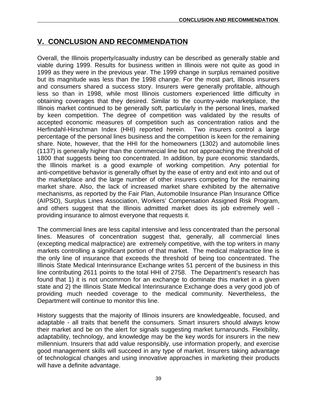# <span id="page-40-0"></span>**V. CONCLUSION AND RECOMMENDATION**

Overall, the Illinois property/casualty industry can be described as generally stable and viable during 1999. Results for business written in Illinois were not quite as good in 1999 as they were in the previous year. The 1999 change in surplus remained positive but its magnitude was less than the 1998 change. For the most part, Illinois insurers and consumers shared a success story. Insurers were generally profitable, although less so than in 1998, while most Illinois customers experienced little difficulty in obtaining coverages that they desired. Similar to the country-wide marketplace, the Illinois market continued to be generally soft, particularly in the personal lines, marked by keen competition. The degree of competition was validated by the results of accepted economic measures of competition such as concentration ratios and the Herfindahl-Hirschman Index (HHI) reported herein. Two insurers control a large percentage of the personal lines business and the competition is keen for the remaining share. Note, however, that the HHI for the homeowners (1302) and automobile lines (1137) is generally higher than the commercial line but not approaching the threshold of 1800 that suggests being too concentrated. In addition, by pure economic standards, the Illinois market is a good example of working competition. Any potential for anti-competitive behavior is generally offset by the ease of entry and exit into and out of the marketplace and the large number of other insurers competing for the remaining market share. Also, the lack of increased market share exhibited by the alternative mechanisms, as reported by the Fair Plan, Automobile Insurance Plan Insurance Office (AIPSO), Surplus Lines Association, Workers' Compensation Assigned Risk Program, and others suggest that the Illinois admitted market does its job extremely well providing insurance to almost everyone that requests it.

The commercial lines are less capital intensive and less concentrated than the personal lines. Measures of concentration suggest that, generally, all commercial lines (excepting medical malpractice) are extremely competitive, with the top writers in many markets controlling a significant portion of that market. The medical malpractice line is the only line of insurance that exceeds the threshold of being too concentrated. The Illinois State Medical Interinsurance Exchange writes 51 percent of the business in this line contributing 2611 points to the total HHI of 2758. The Department's research has found that 1) it is not uncommon for an exchange to dominate this market in a given state and 2) the Illinois State Medical Interinsurance Exchange does a very good job of providing much needed coverage to the medical community. Nevertheless, the Department will continue to monitor this line.

History suggests that the majority of Illinois insurers are knowledgeable, focused, and adaptable - all traits that benefit the consumers. Smart insurers should always know their market and be on the alert for signals suggesting market turnarounds. Flexibility, adaptability, technology, and knowledge may be the key words for insurers in the new millennium. Insurers that add value responsibly, use information properly, and exercise good management skills will succeed in any type of market. Insurers taking advantage of technological changes and using innovative approaches in marketing their products will have a definite advantage.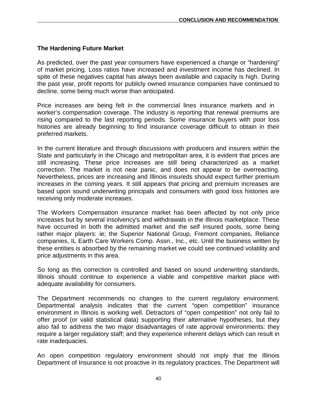#### **The Hardening Future Market**

As predicted, over the past year consumers have experienced a change or "hardening" of market pricing. Loss ratios have increased and investment income has declined. In spite of these negatives capital has always been available and capacity is high. During the past year, profit reports for publicly owned insurance companies have continued to decline, some being much worse than anticipated.

Price increases are being felt in the commercial lines insurance markets and in worker's compensation coverage. The industry is reporting that renewal premiums are rising compared to the last reporting periods. Some insurance buyers with poor loss histories are already beginning to find insurance coverage difficult to obtain in their preferred markets.

In the current literature and through discussions with producers and insurers within the State and particularly in the Chicago and metropolitan area, it is evident that prices are still increasing. These price increases are still being characterized as a market correction. The market is not near panic, and does not appear to be overreacting. Nevertheless, prices are increasing and Illinois insureds should expect further premium increases in the coming years. It still appears that pricing and premium increases are based upon sound underwriting principals and consumers with good loss histories are receiving only moderate increases.

The Workers Compensation insurance market has been affected by not only price increases but by several insolvency's and withdrawals in the Illinois marketplace. These have occurred in both the admitted market and the self insured pools, some being rather major players: ie; the Superior National Group, Fremont companies, Reliance companies, IL Earth Care Workers Comp. Assn., Inc., etc. Until the business written by these entities is absorbed by the remaining market we could see continued volatility and price adjustments in this area.

So long as this correction is controlled and based on sound underwriting standards, Illinois should continue to experience a viable and competitive market place with adequate availability for consumers.

The Department recommends no changes to the current regulatory environment. Departmental analysis indicates that the current "open competition" insurance environment in Illinois is working well. Detractors of "open competition" not only fail to offer proof (or valid statistical data) supporting their alternative hypotheses, but they also fail to address the two major disadvantages of rate approval environments: they require a larger regulatory staff; and they experience inherent delays which can result in rate inadequacies.

An open competition regulatory environment should not imply that the Illinois Department of Insurance is not proactive in its regulatory practices. The Department will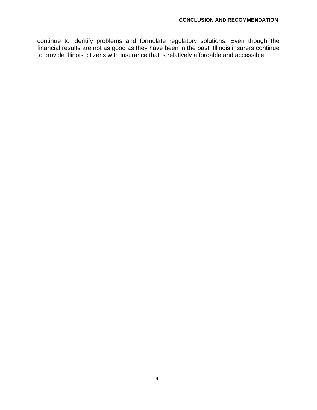continue to identify problems and formulate regulatory solutions. Even though the financial results are not as good as they have been in the past, Illinois insurers continue to provide Illinois citizens with insurance that is relatively affordable and accessible.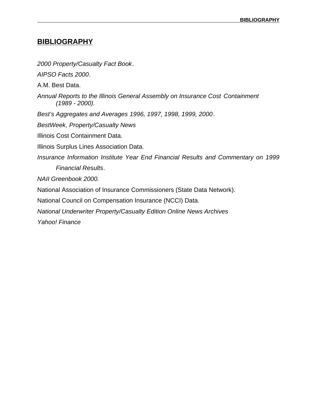### <span id="page-43-0"></span>**BIBLIOGRAPHY**

*2000 Property/Casualty Fact Book*. *AIPSO Facts 2000*. A.M. Best Data. *Annual Reports to the Illinois General Assembly on Insurance Cost Containment (1989 - 2000). Best's Aggregates and Averages 1996, 1997, 1998, 1999, 2000*. *BestWeek, Property/Casualty News* Illinois Cost Containment Data. Illinois Surplus Lines Association Data. *Insurance Information Institute Year End Financial Results and Commentary on 1999 Financial Results*. *NAII Greenbook 2000.* National Association of Insurance Commissioners (State Data Network). National Council on Compensation Insurance (NCCI) Data. *National Underwriter Property/Casualty Edition Online News Archives*

*Yahoo! Finance*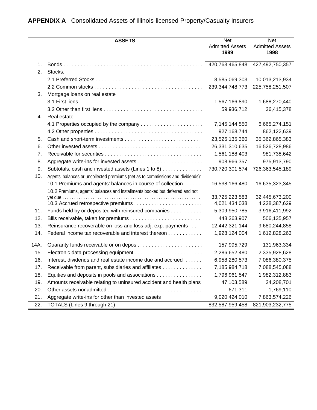# <span id="page-44-0"></span>**APPENDIX A** - Consolidated Assets of Illinois-licensed Property/Casualty Insurers

|      | <b>ASSETS</b>                                                                   | <b>Net</b><br><b>Admitted Assets</b><br>1999 | <b>Net</b><br><b>Admitted Assets</b><br>1998 |
|------|---------------------------------------------------------------------------------|----------------------------------------------|----------------------------------------------|
| 1.   |                                                                                 | 420,763,465,848                              | 427,492,750,357                              |
| 2.   | Stocks:                                                                         |                                              |                                              |
|      |                                                                                 | 8,585,069,303                                | 10,013,213,934                               |
|      |                                                                                 | 239, 344, 748, 773                           | 225,758,251,507                              |
| 3.   | Mortgage loans on real estate                                                   |                                              |                                              |
|      |                                                                                 | 1,567,166,890                                | 1,688,270,440                                |
|      |                                                                                 | 59,936,712                                   | 36,415,378                                   |
| 4.   | Real estate                                                                     |                                              |                                              |
|      | 4.1 Properties occupied by the company                                          | 7,145,144,550                                | 6,665,274,151                                |
|      |                                                                                 | 927,168,744                                  | 862,122,639                                  |
| 5.   |                                                                                 | 23,526,135,360                               | 35,362,865,383                               |
| 6.   |                                                                                 | 26,331,310,635                               | 16,526,728,986                               |
| 7.   |                                                                                 | 1,561,188,403                                | 981,738,642                                  |
| 8.   |                                                                                 | 908,966,357                                  | 975,913,790                                  |
| 9.   | Subtotals, cash and invested assets (Lines 1 to 8)                              | 730,720,301,574                              | 726,363,545,189                              |
| 10.  | Agents' balances or uncollected premiums (net as to commissions and dividends): |                                              |                                              |
|      | 10.1 Premiums and agents' balances in course of collection                      | 16,538,166,480                               | 16,635,323,345                               |
|      | 10.2 Premiums, agents' balances and installments booked but deferred and not    |                                              |                                              |
|      |                                                                                 | 33,725,223,583                               | 32,445,673,200                               |
|      |                                                                                 | 4,021,434,038                                | 4,228,387,629                                |
| 11.  | Funds held by or deposited with reinsured companies                             | 5,309,950,785                                | 3,916,411,992                                |
| 12.  |                                                                                 | 448,363,907                                  | 506,135,957                                  |
| 13.  | Reinsurance recoverable on loss and loss adj. exp. payments                     | 12,442,321,144                               | 9,680,244,858                                |
| 14.  | Federal income tax recoverable and interest thereon                             | 1,928,124,004                                | 1,612,828,263                                |
| 14A. |                                                                                 | 157,995,729                                  | 131,963,334                                  |
| 15.  |                                                                                 | 2,286,652,480                                | 2,335,928,628                                |
| 16.  | Interest, dividends and real estate income due and accrued                      | 6,958,280,573                                | 7,086,380,375                                |
| 17.  | Receivable from parent, subsidiaries and affiliates                             | 7,185,984,718                                | 7,088,545,088                                |
| 18.  | Equities and deposits in pools and associations                                 | 1,796,961,547                                | 1,982,312,883                                |
| 19.  | Amounts receivable relating to uninsured accident and health plans              | 47,103,589                                   | 24,208,701                                   |
| 20.  |                                                                                 | 671,311                                      | 1,769,110                                    |
| 21.  | Aggregate write-ins for other than invested assets                              | 9,020,424,010                                | 7,863,574,226                                |
| 22.  | TOTALS (Lines 9 through 21)                                                     | 832,587,959,458                              | 821,903,232,775                              |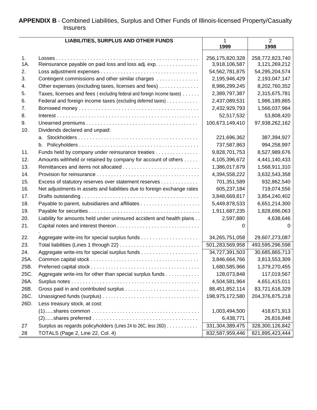#### <span id="page-45-0"></span>**APPENDIX B** - Combined Liabilities, Surplus and Other Funds of Illinois-licensed Property/Casualty Insurers

|      | <b>LIABILITIES, SURPLUS AND OTHER FUNDS</b>                             | $\mathbf{1}$      | $\overline{2}$  |
|------|-------------------------------------------------------------------------|-------------------|-----------------|
|      |                                                                         | 1999              | 1998            |
|      |                                                                         |                   |                 |
| 1.   |                                                                         | 256,175,820,328   | 258,772,823,740 |
| 1A.  | Reinsurance payable on paid loss and loss adj. exp.                     | 3,918,106,587     | 3,121,269,212   |
| 2.   |                                                                         | 54, 562, 781, 875 | 54,295,204,574  |
| 3.   | Contingent commissions and other similar charges                        | 2,195,946,429     | 2,193,047,147   |
| 4.   | Other expenses (excluding taxes, licenses and fees)                     | 8,986,299,245     | 8,202,760,352   |
| 5.   | Taxes, licenses and fees (excluding federal and foreign income taxes)   | 2,389,797,387     | 2,315,675,781   |
| 6.   | Federal and foreign income taxes (excluding deferred taxes)             | 2,437,089,531     | 1,986,189,865   |
| 7.   |                                                                         | 2,432,929,793     | 1,566,037,984   |
| 8.   |                                                                         | 52,517,532        | 53,808,420      |
| 9.   |                                                                         | 100,673,149,410   | 97,938,262,162  |
| 10.  | Dividends declared and unpaid:                                          |                   |                 |
|      |                                                                         | 221,696,362       | 387,394,927     |
|      |                                                                         | 737,587,863       | 994,258,997     |
| 11.  | Funds held by company under reinsurance treaties                        | 9,828,701,753     | 8,527,989,676   |
| 12.  | Amounts withheld or retained by company for account of others           | 4,105,396,672     | 4,441,140,433   |
| 13.  |                                                                         | 1,386,017,679     | 1,568,911,310   |
| 14.  |                                                                         | 4,394,558,222     | 3,632,543,358   |
| 15.  | Excess of statutory reserves over statement reserves                    | 701,351,589       | 932,862,540     |
| 16.  | Net adjustments in assets and liabilities due to foreign exchange rates | 605,237,184       | 719,074,556     |
| 17.  |                                                                         | 3,848,669,817     | 3,854,240,402   |
| 18.  |                                                                         | 5,449,878,533     | 6,651,214,300   |
| 19.  |                                                                         | 1,911,687,235     | 1,828,696,063   |
| 20.  | Liability for amounts held under uninsured accident and health plans    | 2,597,880         | 4,638,646       |
| 21.  |                                                                         | 0                 | 0               |
|      |                                                                         |                   |                 |
| 22.  |                                                                         | 34,265,751,058    | 29,607,273,087  |
| 23.  |                                                                         | 501,283,569,958   | 493,595,296,598 |
| 24.  |                                                                         | 34,727,391,503    | 30,685,865,713  |
| 25A. |                                                                         | 3,846,664,766     | 3,813,553,309   |
| 25B. |                                                                         | 1,680,585,966     | 1,379,270,455   |
| 25C. | Aggregate write-ins for other than special surplus funds                | 128,073,848       | 117,019,567     |
| 26A. |                                                                         | 4,504,581,964     | 4,651,415,011   |
| 26B. |                                                                         | 88,451,852,114    | 83,721,616,329  |
| 26C. |                                                                         | 198,975,172,580   | 204,376,875,218 |
| 26D. | Less treasury stock, at cost:                                           |                   |                 |
|      |                                                                         | 1,003,494,500     | 418,671,913     |
|      |                                                                         | 6,438,771         | 26,816,848      |
| 27   | Surplus as regards policyholders (Lines 24 to 26C, less 26D)            | 331,304,389,475   | 328,300,126,842 |
| 28   | TOTALS (Page 2, Line 22, Col. 4)                                        | 832,587,959,446   | 821,895,423,444 |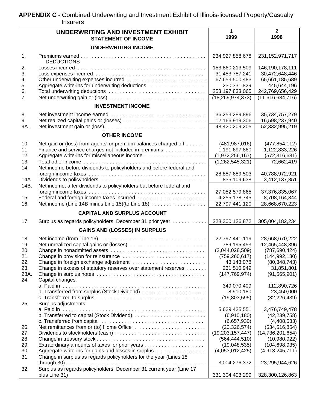<span id="page-46-0"></span>**APPENDIX C** - Combined Underwriting and Investment Exhibit of Illinois-licensed Property/Casualty Insurers

|              | UNDERWRITING AND INVESTMENT EXHIBIT<br><b>STATEMENT OF INCOME</b>                                       | 1<br>1999                              | 2<br>1998                              |
|--------------|---------------------------------------------------------------------------------------------------------|----------------------------------------|----------------------------------------|
|              | <b>UNDERWRITING INCOME</b>                                                                              |                                        |                                        |
| 1.           | <b>DEDUCTIONS</b>                                                                                       | 234,927,858,678                        | 231, 152, 971, 717                     |
| 2.           |                                                                                                         | 153,860,213,509                        | 146,190,178,111                        |
| 3.           |                                                                                                         | 31,453,787,241                         | 30,472,648,446                         |
| 4.           |                                                                                                         | 67,653,500,483                         | 65,661,185,689                         |
| 5.           | Aggregate write-ins for underwriting deductions                                                         | 230,331,829                            | 445,644,196                            |
| 6.<br>7.     |                                                                                                         | 253,197,833,065<br>(18, 269, 974, 373) | 242,769,656,429<br>(11,616,684,716)    |
|              | <b>INVESTMENT INCOME</b>                                                                                |                                        |                                        |
| 8.           |                                                                                                         | 36,253,289,896                         | 35,734,757,279                         |
| 9.           |                                                                                                         | 12,166,919,306                         | 16,598,237,940                         |
| 9A.          |                                                                                                         | 48,420,209,205                         | 52,332,995,219                         |
|              | <b>OTHER INCOME</b>                                                                                     |                                        |                                        |
| 10.          | Net gain or (loss) from agents' or premium balances charged off                                         | (481, 987, 016)                        | (477, 854, 112)                        |
| 11.          | Finance and service charges not included in premiums                                                    | 1,191,697,860                          | 1,122,833,226                          |
| 12.          | Aggregate write-ins for miscellaneous income                                                            | (1,972,256,167)                        | (572, 316, 681)                        |
| 13.          |                                                                                                         | (1,262,545,321)                        | 72,662,419                             |
| 14.          | Net income before dividends to policyholders and before federal and                                     |                                        |                                        |
|              |                                                                                                         | 28,887,689,503                         | 40,788,972,921                         |
| 14A.<br>14B. | Net income, after dividends to policyholders but before federal and                                     | 1,835,109,638                          | 3,412,137,851                          |
|              |                                                                                                         | 27,052,579,865                         | 37,376,835,067                         |
| 15.          | Federal and foreign income taxes incurred                                                               | 4,255,138,745                          | 8,708,164,844                          |
| 16.          | Net income (Line 14B minus Line 15) (to Line 18).                                                       | 22,797,441,120                         | 28,668,670,223                         |
|              | <b>CAPITAL AND SURPLUS ACCOUNT</b>                                                                      |                                        |                                        |
| 17.          | Surplus as regards policyholders, December 31 prior year                                                | 328,300,126,872                        | 305,004,182,234                        |
|              | <b>GAINS AND (LOSSES) IN SURPLUS</b>                                                                    |                                        |                                        |
| 18.          |                                                                                                         | 22,797,441,119                         | 28,668,670,222                         |
| 19.          |                                                                                                         | 789,195,453                            | 12,465,448,396                         |
| 20.          |                                                                                                         | (2,044,028,509)                        | (787, 690, 424)                        |
| 21.          |                                                                                                         | (759, 260, 617)                        | (144, 992, 130)                        |
| 22.<br>23.   | Change in foreign exchange adjustment<br>Change in excess of statutory reserves over statement reserves | 43,143,078<br>231,510,949              | (80, 348, 743)<br>31,851,801           |
| 23A.         |                                                                                                         | (147, 769, 974)                        | (91, 565, 901)                         |
| 24.          | Capital changes:                                                                                        |                                        |                                        |
|              |                                                                                                         | 349,070,409                            | 112,890,726                            |
|              |                                                                                                         | 8,910,180                              | 23,450,000                             |
| 25.          | Surplus adjustments:                                                                                    | (19,803,595)                           | (32, 226, 439)                         |
|              |                                                                                                         | 5,629,425,551                          | 3,476,749,478                          |
|              |                                                                                                         | (6,910,180)                            | (42, 239, 758)                         |
|              |                                                                                                         | (6,657,930)                            | (4,408,533)                            |
| 26.<br>27.   |                                                                                                         | (20, 326, 574)<br>(19,203,157,447)     | (534, 516, 854)<br>(14, 736, 201, 654) |
| 28.          |                                                                                                         | (564, 444, 510)                        | (10,980,922)                           |
| 29.          |                                                                                                         | (19,048,535)                           | (104, 698, 935)                        |
| 30.          | Aggregate write-ins for gains and losses in surplus                                                     | (4,053,012,425)                        | (4,913,245,711)                        |
| 31.          | Change in surplus as regards policyholders for the year (Lines 18                                       |                                        |                                        |
|              | $\sim$ $\sim$ $\sim$ $\sim$                                                                             | 3,004,276,372                          | 23,295,944,626                         |
| 32.          | Surplus as regards policyholders, December 31 current year (Line 17                                     |                                        |                                        |
|              | plus Line 31)                                                                                           | 331,304,403,299                        | 328,300,126,863                        |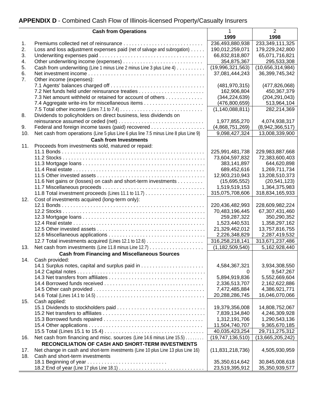# <span id="page-47-0"></span>**APPENDIX D** - Combined Cash Flow of Illinois-licensed Property/Casualty Insurers

|                | <b>Cash from Operations</b>                                                                                                | 1                   | 2                                 |
|----------------|----------------------------------------------------------------------------------------------------------------------------|---------------------|-----------------------------------|
|                |                                                                                                                            | 1999                | 1998                              |
| 1.             |                                                                                                                            | 236,493,880,938     | 233,349,111,325                   |
| 2.             | Loss and loss adjustment expenses paid (net of salvage and subrogation)                                                    | 190,012,259,071     | 179,229,242,800                   |
| 3.             |                                                                                                                            | 66,832,818,807      | 65,071,716,821                    |
| 4.             |                                                                                                                            | 354,875,367         | 295,533,308                       |
| 5.             | Cash from underwriting (Line 1 minus Line 2 minus Line 3 plus Line 4)                                                      | (19,996,321,563)    | (10,656,314,984)                  |
| 6.             |                                                                                                                            | 37,081,444,243      | 36,399,745,342                    |
| 7 <sub>1</sub> | Other income (expenses):                                                                                                   |                     |                                   |
|                |                                                                                                                            | (481, 970, 315)     | (477, 826, 068)                   |
|                |                                                                                                                            | 162,906,804         | 450,367,379                       |
|                | 7.3 Net amount withheld or retained for account of others                                                                  | (344, 224, 639)     | (204, 291, 043)                   |
|                |                                                                                                                            | (476,800,659)       | 513,964,104                       |
|                |                                                                                                                            | (1, 140, 088, 811)  | 282,214,369                       |
| 8.             | Dividends to policyholders on direct business, less dividends on                                                           |                     |                                   |
|                |                                                                                                                            | 1,977,855,270       | 4,074,938,317                     |
| 9.             |                                                                                                                            | (4,868,751,269)     | (8,942,366,517)                   |
| 10.            | Net cash from operations (Line 5 plus Line 6 plus line 7.5 minus Line 8 plus Line 9)                                       | 9,098,427,324       | 13,008,339,900                    |
|                | <b>Cash from Investments</b>                                                                                               |                     |                                   |
| 11.            | Proceeds from investments sold, matured or repaid:                                                                         | 225,991,481,738     |                                   |
|                |                                                                                                                            | 73,604,597,832      | 229,983,887,668<br>72,383,600,403 |
|                |                                                                                                                            | 383,141,897         | 644,620,898                       |
|                |                                                                                                                            | 689,452,616         | 1,269,711,734                     |
|                |                                                                                                                            | 12,903,210,943      | 13,208,510,373                    |
|                | 11.6 Net gains or (losses) on cash and short-term investments                                                              | (15,695,552)        | (20, 541, 123)                    |
|                |                                                                                                                            | 1,519,519,153       | 1,364,375,983                     |
|                |                                                                                                                            | 315,075,708,606     | 318,834,165,933                   |
| 12.            | Cost of investments acquired (long-term only):                                                                             |                     |                                   |
|                |                                                                                                                            | 220,436,482,993     | 228,609,982,224                   |
|                |                                                                                                                            | 70,483,196,445      | 67,307,431,460                    |
|                |                                                                                                                            | 259,287,322         | 350,290,352                       |
|                |                                                                                                                            | 1,523,440,531       | 1,358,297,162                     |
|                |                                                                                                                            | 21,329,462,012      | 13,757,816,755                    |
|                |                                                                                                                            | 2,226,348,829       | 2,287,419,532                     |
|                |                                                                                                                            | 316,258,218,141     | 313,671,237,486                   |
| 13.            |                                                                                                                            | (1, 182, 509, 540)  | 5,162,928,440                     |
|                | <b>Cash from Financing and Miscellaneous Sources</b>                                                                       |                     |                                   |
| 14.            | Cash provided:                                                                                                             |                     |                                   |
|                |                                                                                                                            | 4,584,367,321       | 3,934,308,550                     |
|                |                                                                                                                            | 0                   | 9,547,267                         |
|                |                                                                                                                            | 5,894,919,836       | 5,552,669,604                     |
|                |                                                                                                                            | 2,336,513,707       | 2,162,622,886                     |
|                |                                                                                                                            | 7,472,485,884       | 4,386,921,771                     |
|                |                                                                                                                            | 20,288,286,745      | 16,046,070,066                    |
| 15.            | Cash applied:                                                                                                              |                     |                                   |
|                |                                                                                                                            | 19,379,356,008      | 14,808,752,067                    |
|                |                                                                                                                            | 7,839,134,840       | 4,246,309,928                     |
|                |                                                                                                                            | 1,312,191,706       | 1,290,543,136                     |
|                |                                                                                                                            | 11,504,740,707      | 9,365,670,185                     |
|                |                                                                                                                            | 40,035,423,254      | 29,711,275,312                    |
| 16.            | Net cash from financing and misc. sources (Line 14.6 minus Line 15.5)<br>RECONCILIATION OF CASH AND SHORT-TERM INVESTMENTS | (19,747,136,510)    | (13,665,205,242)                  |
|                |                                                                                                                            |                     |                                   |
| 17.            | Net change in cash and short-term investments (Line 10 plus Line 13 plus Line 16)                                          | (11, 831, 218, 736) | 4,505,930,959                     |
| 18.            | Cash and short-term investments<br>18.1 Beginning of year                                                                  | 35,350,614,642      | 30,845,008,618                    |
|                |                                                                                                                            | 23,519,395,912      | 35,350,939,577                    |
|                |                                                                                                                            |                     |                                   |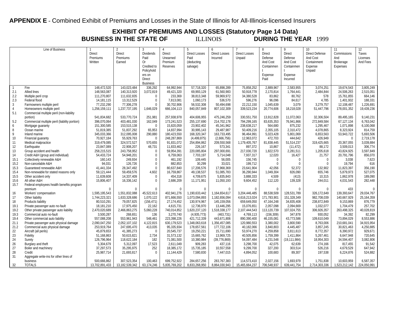<span id="page-48-0"></span>**APPENDIX E** - Combined Exhibit of Premiums and Losses in the State of Illinois for All-Illinois-licensed Insurers

**EXHIBIT OF PREMIUMS AND LOSSES (Statutory Page 14 Data) BUSINESS IN THE STATE OF** 

|                | Line of Business                                         |                           | $\mathfrak{p}$            | 3               | 4                        | 5                        | 6                            |                          | 8                  | 9                           | 10                      | 11                      | 12           |
|----------------|----------------------------------------------------------|---------------------------|---------------------------|-----------------|--------------------------|--------------------------|------------------------------|--------------------------|--------------------|-----------------------------|-------------------------|-------------------------|--------------|
|                |                                                          | Direct                    | Direct                    | Dividends       | <b>Direct</b>            | <b>Direct Losses</b>     | <b>Direct Losses</b>         | <b>Direct Losses</b>     | <b>Direct</b>      | <b>Direct</b>               | <b>Direct Defense</b>   | Commissions             | Taxes        |
|                |                                                          | Premiums                  | Premiums                  | Paid            | Unearned                 | Paid                     | Incurred                     | Unpaid                   | Defense            | Defense                     | And Cost                | And                     | Licenses     |
|                |                                                          | Written                   | Earned                    | 0r              | Premium                  | (deducting               |                              |                          | And Cost           | And Cost                    | Containment             | Brokerage               | And Fees     |
|                |                                                          |                           |                           | Credited to     | <b>Reserves</b>          | salvage)                 |                              |                          | Containmen         | Containmen                  | Expense                 | Expenses                |              |
|                |                                                          |                           |                           | Policyhold      |                          |                          |                              |                          |                    |                             | Unpaid                  |                         |              |
|                |                                                          |                           |                           | ers on          |                          |                          |                              |                          | Expense            | Expense                     |                         |                         |              |
|                |                                                          |                           |                           | <b>Direct</b>   |                          |                          |                              |                          | Paid               | Incurred                    |                         |                         |              |
|                |                                                          |                           |                           | <b>Business</b> |                          |                          |                              |                          |                    |                             |                         |                         |              |
| $\overline{1}$ | Fire                                                     | 148,472,520               | 143,023,484               | 336,292         | 64,992,944               | 57,718,320               | 65,898,289                   | 75,858,252               | 2,889,967          | 2,583,955                   | 3,074,251               | 19,674,543              | 3,805,249    |
| 2.1            | <b>Allied lines</b>                                      | 148,563,087               | 140,313,920               | 3,072,819       | 49,421,320               | 69,993,129               | 61,560,983                   | 50,918,778               | 2,170,814          | 1,764,441                   | 2,484,844               | 24,506,263              | 2,515,051    |
| 2.2            | Multiple peril crop                                      | 111,270,807               | 111.632.835               | $\mathbf{0}$    | 233,369                  | 38,813,348               | 59.969.972                   | 34,380,528               | 83.862             | 80.762                      | 578                     | 15.761.855              | 664,146      |
| 2.3            | Federal flood                                            | 14, 181, 115              | 13.312.529                | $\mathbf 0$     | 7,813,081                | 1.060.173                | 536,570                      | 596,276                  | 96.096             | 84.617                      | 4.785                   | 1,401,932               | 188,331      |
| $\mathbf{3}$   | Farmowners multiple peril                                | 77,232,290                | 77,306,278                | $\Omega$        | 30,702,906               | 56,532,308               | 50,494,698                   | 22,212,150               | 1,045,639          | 3,079                       | 3,279,757               | 12,108,487              | 1,226,691    |
| $\overline{4}$ | Homeowners multiple peril                                | 1,256,159,111             | 1,237,737,195             | 1,646,029       | 666,104,113              | 840,057,849              | 807,102,309                  | 339,523,234              | 20,774,606         | 18,218,028                  | 51,447,796              | 178,001,352             | 19,439,236   |
| 5.1            | Commercial multiple peril (non-liability                 |                           |                           |                 |                          |                          |                              |                          |                    |                             |                         |                         |              |
|                | portion)                                                 | 541.834.682               | 533.770.724               | 251.981         | 257.938.978              | 404.606.955              | 475.246.259                  | 330.551.750              | 13,912,828         | 11.072.063                  | 32.306.504              | 89.495.165              | 9.140.231    |
| 5.2            | Commercial multiple peril (liability portion)            | 396,070,064               | 403,481,030               | 162,049         | 173,241,523              | 255,137,690              | 214,702,178                  | 794,299,165              | 83,635,353         | 76,941,866                  | 272,849,584             | 67,127,134              | 6,763,042    |
| 6              | Mortgage guaranty                                        | 151,300,585               | 153,515,138               | $\mathbf{0}$    | 15,820,059               | 23,902,402               | 45,341,962                   | 238,638,217              | 564,680            | 875,232                     | 1,295,467               | 1.071.898               | 6,100,068    |
| 8              | Ocean marine                                             | 51,819,385                | 51,837,292                | 65,953          | 14,837,994               | 30,995,143               | 29,487,987                   | 50,409,216               | 2,355,105          | 2,310,472                   | 4,078,865               | 8,323,924               | 814,759      |
| 9              | Inland marine                                            | 345,033,366               | 312,095,008               | 290,880         | 180,423,550              | 168,320,347              | 163,733,495                  | 96,464,991               | 5,023,428          | 5,801,069                   | 6,653,563               | 53,943,722              | 5,693,506    |
| 10             | Financial quaranty                                       | 70,927,184                | 55,929,763                | $\overline{0}$  | 248,287,869              | (4,499,875)              | (2,666,756)                  | 12,963,072               | 472,703            | 444,642                     | 426,949                 | $\mathbf{0}$            | 2,719,178    |
| 11             | Medical malpractice                                      | 319.479.085               | 324,572,527               | 570,655         | 91,831,072               | 254,894,862              | 209,550,568                  | 1,179,405,767            | 81,838,445         | 51,514,237                  | 319,425,665             | 20,367,055              | 3,039,884    |
| 12             | Earthquake                                               | 23,847,089                | 22,908,207                | 48,731          | 11,833,462               | 226,167                  | 573,341                      | 897,372                  | 10,867             | (11, 472)                   | 88,172                  | 3,509,013               | 306,774      |
| 13             | Group accident and health                                | 258,215,515               | 243,758,952               | 0               | 59,954,391               | 220,085,804              | 297,000,691                  | 217,030,720              | 1,822,570          | 2,281,511                   | 1,205,618               | 43,824,925              | 3,597,849    |
| 14             | Credit A&H (group and individual)                        | 54,433,724                | 54,948,201                | $\Omega$        | 6,759,063                | 7,703,197                | 5,714,048                    | 7,937,317                | 12,020             | 16,427                      | 21,757                  | 20,791,796              | 856,070      |
| 15.1           | Collectively renewable A&H                               | 160,143                   | 249,934                   | $\theta$        | 461,192                  | 109,445                  | 56,005                       | 156,745                  | $\mathbf 0$        | $\mathbf 0$                 | $\bf{0}$                | 3,038                   | 7,623        |
| 15.2           | Non-cancelable A&H                                       | 94.031                    | 126,726                   | $\Omega$        | 882.853                  | 30.299                   | 33.021                       | 199.712                  | $\Omega$           | $\Omega$                    | $\Omega$                | 19.794                  | 616          |
| 15.3           | Guaranteed renewable A&H                                 | 41,441,334                | 28,347,492                | $\mathbf 0$     | 80,637,840               | 17,206,576               | 17,968,369                   | 23,641,904               | 42,056             | 52,372                      | 132,902                 | 11,823,397              | 356,190      |
| 15.4           | Non-renewable for stated reasons only                    | 59,121,444                | 59,459,576                | 4,602           | 16,759,867               | 49,138,537               | 51,085,783                   | 36,290,944               | 1,049,304          | 826,090                     | 655,746                 | 5,879,973               | 527,075      |
| 15.5           | Other accident only                                      | 11,639,608                | 14,337,409                | $\mathbf 0$     | 454,318                  | 4,709,675                | 5,835,843                    | 3,888,333                | 4,509              | (413)                       | 10,315                  | 1,862,978               | 189,090      |
| 15.6           | All other A&H                                            | 15,806,407                | 16,336,142                | $\Omega$        | 2,686,209                | 11,171,951               | 11,050,193                   | 9,604,452                | 112,120            | 139,328                     | 244,011                 | 4,031,543               | 282,448      |
| 15.7           | Federal employees health benefits program                |                           |                           |                 |                          |                          |                              |                          |                    |                             |                         |                         |              |
|                | premium                                                  | $\Omega$                  | $\Omega$                  | $\Omega$        | $\Omega$                 | $\Omega$                 | $\Omega$                     |                          | $\Omega$           | $\Omega$                    | $\Omega$                | 433                     | $\mathbf 0$  |
| 16             | Workers' compensation                                    | 1,595,195,543             | 1,551,832,088             | 45,522,613      | 402,941,276              | 1,190,633,442            | 1,164,654,617                | 3,204,446,485            | 88,538,509         | 128,531,789                 | 326,172,649             | 139,393,647             | 29.034.767   |
| 17             | Other liability                                          | 1,744,223,321             | 1,633,328,686             | 1,070,122       | 871,666,550              | 1,073,094,893            | 1,182,656,094                | 4,616,213,024            | 171,783,901        | 151,328,349                 | 982,708,039             | 140,667,929             | 25, 164, 359 |
| 18             | Products liability                                       | 80,510,291                | 79,057,825                | (156, 471)      | 27,174,452               | 130,974,967              | 145,159,056                  | 659,649,050              | 47, 164, 248       | 34,835,408                  | 238,872,849             | 9,153,869               | 876,779      |
| 19.1           | Private passenger auto no-fault                          | 18,181,210                | 17.975.450                | 22.162          | 4,615,731                | 12.736.970               | 13,446,295                   | 15,076,651               | 2,057,098          | 2.094.669                   | 1,032,077               | 1,704,479               | 257,702      |
| 19.2           | Other private passenger auto liability                   | 2,470,020,689             | 2,466,863,275             | 5,060,228       | 740,014,852              | 1,620,237,120            | 1,518,338,177                | 2,107,444,543            | 113,120,739        | 107,024,755                 | 306,926,357             | 263,498,325             | 40,028,819   |
| 19.3           | Commercial auto no-fault                                 | 3,500,287                 | 268,651                   | 136             | 3,270,740                | (4,935,773)              | (463, 731)                   | 4,769,113                | (156, 309)         | 347,878                     | 930,052                 | 34,392                  | 82,299       |
| 19.4           | Other commercial auto liability                          | 557,088,208               | 553,961,943               | 548,461         | 223,398,226              | 421,712,339              | 443,671,806                  | 890,390,400              | 46,155,081         | 43,773,586                  | 109,610,049             | 73,894,029              | 8,553,886    |
| 21.1           | Private passenger auto physical damage                   | 2,090,047,250             | 2,052,107,102             | 4,122,815       | 630,179,523              | 1,348,063,618            | 1,356,457,085                | 120,980,553              | 3,380,002          | 3,800,590                   | 8,763,006               | 210,681,041             | 34,915,954   |
| 21.2           |                                                          | 253,919,764               | 247,695,470               | 413,035         | 95,335,934               | 178,657,561              | 177,722,106                  | 40,182,066               | 3,840,803          | 4,445,487                   | 3,857,245               | 30,821,463              | 4,250,885    |
| 22             | Commercial auto physical damage<br>Aircraft (all perils) | 45,879,653                | 41,385,273                | $\Omega$        | 20,545,737               | 19,250,221               | 15.711.690                   | 53,974,270               | 4,259,858          | 3.811.613                   | 8,772,357               | 6,390,972               | 929,671      |
|                |                                                          |                           |                           |                 |                          |                          |                              |                          | 1,759,399          |                             |                         |                         | 720,645      |
| 23<br>24       | Fidelity<br>Surety                                       | 51,168,863<br>126,796,964 | 50,615,821<br>118,622,184 | 2,734<br>182    | 31,573,132<br>71,081,500 | 15,665,762<br>10,380,984 | 13,969,725<br>(39, 776, 869) | 40,505,856<br>54,097,484 | 4,231,548          | 1,411,864<br>(19, 111, 984) | 5,267,461<br>18,954,303 | 6,647,948<br>34,594,407 | 3,082,806    |
|                |                                                          | 5,304,679                 | 5,312,097                 |                 |                          | 909,283                  |                              |                          |                    |                             | 274,166                 |                         | 91,542       |
| 26<br>27       | Burglary and theft<br>Boiler and machinery               |                           |                           | 17,523<br>252   | 2,611,049                |                          | 437,116                      | 3,298,700<br>9,299,700   | 42,075             | 62,639                      |                         | 817,455                 | 647,942      |
| 28             | Credit                                                   | 37,297,573                | 35,295,975                | $\Omega$        | 18,385,172               | 15,735,185               | 10,557,558                   |                          | 327,200<br>100.683 | 303,514                     | 526,216<br>197.538      | 4,679,529               | 524,882      |
| 31             |                                                          | 25,987,714                | 21,693,817                |                 | 11,144,429               | 7,580,830                | 7,447,015                    | 4,894,052                |                    | 89,307                      |                         | 6,224,876               |              |
|                | Aggregate write-ins for other lines of                   |                           |                           |                 |                          |                          |                              |                          |                    |                             |                         |                         |              |
|                | business                                                 | 500,666,862               | 307.523.354               | 100.463         | 699,752,922              | 284,657,256              | 283.767.383                  | 114,573,410              | 2,027,156          | 1.693.979                   | 1,751,838               | 10,603,959              | 6,587,357    |
| 32             | <b>TOTALS</b>                                            | 13,702,891,433            | 13,182,539,342            | 63,174,246      | 5,835,769,202            | 8,833,268,950            | 8,864,030,943                | 15,465,664,237           | 706,548,937        | 639,441,754                 | 2,714,303,336           | ,523,212,142            | 224,050,991  |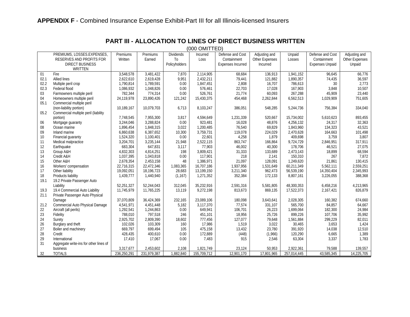<span id="page-49-0"></span>

|      | (000 OMITTED)                          |             |             |                  |             |                          |                       |             |                        |                       |
|------|----------------------------------------|-------------|-------------|------------------|-------------|--------------------------|-----------------------|-------------|------------------------|-----------------------|
|      | PREMIUMS, LOSSES.EXPENSES,             | Premiums    | Premiums    | <b>Dividends</b> | Incurred    | Defense and Cost         | Adjusting and         | Unpaid      | Defense and Cost       | Adjusting and         |
|      | RESERVES AND PROFITS FOR               | Written     | Earned      | T <sub>0</sub>   | Loss        | Containment              | <b>Other Expenses</b> | Losses      | Containment            | <b>Other Expenses</b> |
|      | <b>DIRECT BUSINESS</b>                 |             |             | Policyholders    |             | <b>Expenses Incurred</b> | Incurred              |             | <b>Expenses Unpaid</b> | Unpaid                |
|      | <b>WRITTEN</b>                         |             |             |                  |             |                          |                       |             |                        |                       |
| 01   | Fire                                   | 3,548,578   | 3,481,422   | 7,870            | 2,114,905   | 68,684                   | 136,913               | 1,941,152   | 96,645                 | 66,776                |
| 02.1 | <b>Allied lines</b>                    | 2,622,610   | 2,619,428   | 9,951            | 2,432,211   | 79,441                   | 121,882               | 1,890,357   | 74.435                 | 36,597                |
| 02.2 | Multiple peril crop                    | 1,790,814   | 1,789,591   | 0.00             | 1,847,451   | 2,808                    | 16,707                | 786,613     | 30                     | 2,773                 |
| 02.3 | Federal flood                          | 1.086.932   | 1,048,826   | 0.00             | 576.461     | 22,703                   | 17.028                | 167.903     | 3.848                  | 10.507                |
| 03   | Farmowners multiple peril              | 782,344     | 774,314     | 0.00             | 526,761     | 21,774                   | 60,093                | 267,288     | 45,909                 | 23,440                |
| 04   | Homeowners multiple peril              | 24,119,978  | 23,890,426  | 121,242          | 15,430,375  | 454,468                  | 2,262,844             | 6,562,513   | 1,029,909              | 751,605               |
| 05.1 | Commercial multiple peril              |             |             |                  |             |                          |                       |             |                        |                       |
|      | (non-liability portion)                | 10,189,167  | 10,079,703  | 6,713            | 8,103,247   | 386,051                  | 548,285               | 5,244,736   | 756,384                | 334,040               |
| 05.2 | Commercial multiple peril (liability   |             |             |                  |             |                          |                       |             |                        |                       |
|      | portion)                               | 7,748,545   | 7,955,300   | 3,817            | 4,594,649   | 1,231,339                | 520,667               | 15,734,002  | 5,610,623              | 893,455               |
| 06   | Mortgage guaranty                      | 3.244.046   | 3,288,824   | 0.00             | 923,481     | 16,028                   | 48.876                | 4,256,132   | 24,317                 | 32,363                |
| 08   | Ocean marine                           | 1,896,454   | 1,848,315   | 3,022            | 1,200,485   | 76,540                   | 69,829                | 1,843,960   | 134,323                | 43,521                |
| 09   | Inland marine                          | 6,860,638   | 6,387,652   | 10,300           | 3,759,731   | 119,078                  | 224,029               | 2,470,628   | 164,663                | 101,498               |
| 10   | Financial quaranty                     | 1,524,320   | 1,100,401   | 0.00             | 22,601      | 4,258                    | 1,879                 | 409,698     | 3,759                  | 3,807                 |
| 11   | Medical malpractice                    | 3,204,701   | 3,235,144   | 21,948           | 2,522,115   | 863,747                  | 166,864               | 9,724,729   | 2,846,951              | 317,911               |
| 12   | Earthquake                             | 683,304     | 647,831     | 3,117            | 77,903      | 46,002                   | 40,300                | 178,706     | 46,521                 | 27,075                |
| 13   | Group A&H                              | 4,832,303   | 4,814,251   | 198              | 3,809,421   | 31,333                   | 133,689               | 2,473,143   | 18,899                 | 68,594                |
| 14   | Credit A&H                             | 1.037.395   | 1,043,818   | 0.00             | 117.901     | 218                      | 2.141                 | 150,310     | 267                    | 7.872                 |
| 15   | Other A&H                              | 2,678,354   | 2,453,158   | 48               | 1,386,971   | 21,097                   | 128,091               | 1,249,620   | 21,861                 | 130,415               |
| 16   | Workers' compensation                  | 22,716,315  | 22,472,346  | 1,083,365        | 16,707,186  | 1,937,956                | 1,531,649             | 60,211,349  | 5,562,111              | 2,559,251             |
| 17   | Other liability                        | 19,092,051  | 18,196,723  | 28,683           | 13,199,150  | 3,211,340                | 962,473               | 56,539,190  | 14,350,404             | 2,345,993             |
| 18   | Products liability                     | 1,439,777   | 1,440,940   | (1, 167)         | 1,271,352   | 352,384                  | 172,133               | 8,807,161   | 3,226,055              | 388,368               |
| 19.1 | 19.2 Private Passenger Auto            |             |             |                  |             |                          |                       |             |                        |                       |
|      | Liability                              | 52,251,327  | 52,244,043  | 312,045          | 35,232,916  | 2,591,316                | 5,581,805             | 48,300,353  | 6,458,216              | 4,213,965             |
| 19.3 | 19.4 Commercial Auto Liability         | 11,745,979  | 11,765,225  | 13,119           | 9,272,198   | 813,673                  | 869,135               | 17,522,373  | 2,167,421              | 826,879               |
| 21.1 | Private Passenger Auto Physical        |             |             |                  |             |                          |                       |             |                        |                       |
|      | Damage                                 | 37.070.809  | 36,424,369  | 232,165          | 23,089,106  | 180,098                  | 3,643,641             | 2,028,305   | 160,382                | 674,660               |
| 21.2 | Commercial Auto Physical Damage        | 4,541,971   | 4,451,448   | 5,182            | 3,117,370   | 77,574                   | 331,107               | 565,700     | 84,857                 | 64,667                |
| 22   | Aircraft (all perils)                  | 1,292,541   | 1,244,863   | 0.00             | 649,941     | 106,701                  | 26,223                | 1,699,064   | 182,300                | 24,984                |
| 23   | Fidelity                               | 788,010     | 797,518     | 246              | 451,101     | 18,956                   | 25,726                | 899,226     | 107,706                | 35,992                |
| 24   | Surety                                 | 2,925,702   | 2,809,390   | 18,602           | 777,456     | 127,077                  | 79,648                | 1,561,884   | 299,229                | 82,011                |
| 26   | Burglary and theft                     | 102,026     | 103,309     | 160              | 17,986      | 1,519                    | 3,022                 | 30,465      | 3,653                  | 1,424                 |
| 27   | Boiler and machinery                   | 669,797     | 699,494     | 105              | 475,158     | 13,432                   | 23,780                | 391,920     | 14,038                 | 12,510                |
| 28   | Credit                                 | 428,435     | 400,610     | 0.00             | 172,889     | (448)                    | (1,966)               | 120,290     | 6,665                  | 1,389                 |
| 29   | International                          | 17,410      | 17,067      | 0.00             | 7,483       | 915                      | 2,546                 | 63,304      | 3,337                  | 1,783                 |
| 31   | Aggregate write-ins for other lines of |             |             |                  |             |                          |                       |             |                        |                       |
|      | business                               | 3,317,677   | 2,453,602   | 2,108            | 1,821,749   | 23,124                   | 50,953                | 2,922,361   | 79,588                 | 139,557               |
| 32   | <b>TOTALS</b>                          | 236,250,291 | 231,979,387 | 1,882,840        | 155,709,712 | 12,901,170               | 17,801,965            | 257,014,445 | 43,585,345             | 14,225,705            |

### **PART III - ALLOCATION TO LINES OF DIRECT BUSINESS WRITTEN**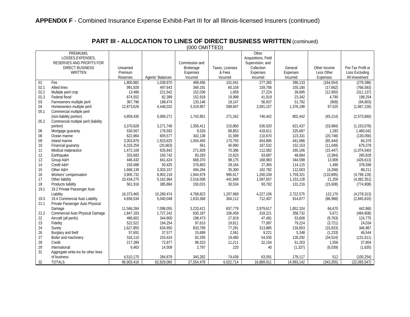|      | (000 OMITTED)                        |                 |                  |                |                 |                     |            |              |                   |  |
|------|--------------------------------------|-----------------|------------------|----------------|-----------------|---------------------|------------|--------------|-------------------|--|
|      | PREMIUMS,                            |                 |                  |                |                 | Other               |            |              |                   |  |
|      | LOSSES.EXPENSES                      |                 |                  |                |                 | Acquisitions, Field |            |              |                   |  |
|      | RESERVES AND PROFITS FOR             |                 |                  | Commission and |                 | Supervision, and    |            |              |                   |  |
|      | <b>DIRECT BUSINESS</b>               | Unearned        |                  | Brokerage      | Taxes, Licenses | Collection          | General    | Other Income | Pre-Tax Profit or |  |
|      | <b>WRITTEN</b>                       | Premium         |                  | Expenses       | & Fees          | Expenses            | Expenses   | Less Other   | Loss Excluding    |  |
|      |                                      | <b>Reserves</b> | Agents' Balances | Incurred       | Incurred        | Incurred            | Incurred   | Expenses     | All Investment    |  |
| 01   | Fire                                 | 1,800,882       | 1,038,970        | 499,456        | 101,041         | 277,265             | 390,133    | (164, 554)   | (279, 386)        |  |
| 02.1 | <b>Allied lines</b>                  | 991,928         | 497,643          | 349,191        | 60,158          | 159,706             | 155,180    | (17,662)     | (766, 583)        |  |
| 02.2 | Multiple peril crop                  | 13,486          | 221,542          | 152,036        | 1,859           | 27,224              | 39,695     | (12,950)     | (311, 137)        |  |
| 02.3 | Federal flood                        | 674,552         | 82,399           | 152,918        | 19,998          | 41,919              | 23,342     | 4,790        | 199,254           |  |
| 03   | Farmowners multiple peril            | 367,796         | 188,474          | 133,146        | 18,147          | 56,937              | 51,792     | (908)        | (94, 803)         |  |
| 04   | Homeowners multiple peril            | 12,873,626      | 4,448,032        | 3,319,957      | 598,947         | 2,091,157           | 1,376,198  | 97,525       | (1,667,226)       |  |
| 05.1 | Commercial multiple peril            |                 |                  |                |                 |                     |            |              |                   |  |
|      | (non-liability portion)              | 4,859,435       | 5,069,271        | 1,743,951      | 271,342         | 746,442             | 802,442    | (45, 214)    | (2,573,860)       |  |
| 05.2 | Commercial multiple peril (liability |                 |                  |                |                 |                     |            |              |                   |  |
|      | portion)                             | 3,370,628       | 3,271,746        | 1,356,411      | 210,860         | 536,020             | 621,437    | (33,984)     | (1, 153, 078)     |  |
| 06   |                                      | 530,567         | 176,592          | 8,526          | 88,853          | 418,611             | 325,687    | 1,283        | 1,460,042         |  |
| 08   | Mortgage guaranty<br>Ocean marine    | 622,864         | 605,577          | 342,138        | 31,599          | 110,670             | 123,331    | (20, 748)    | (130,056)         |  |
| 09   | Inland marine                        |                 |                  |                |                 |                     |            |              |                   |  |
|      |                                      | 3,303,876       | 1,923,625        | 1,054,450      | 173,755         | 454,895             | 441,686    | (65, 444)    | 84,376            |  |
| 10   | Financial guaranty                   | 6,333,259       | (20,663)         | 561            | 40,990          | 187,532             | 152,153    | (11, 049)    | 679,378           |  |
| 11   | Medical malpractice                  | 1,472,108       | 635,842          | 271,928        | 70,386          | 112,082             | 265,166    | (15, 447)    | (1,074,540)       |  |
| 12   | Earthquake                           | 333,683         | 160,742          | 83,283         | 15,623          | 63,687              | 48,684     | (3, 384)     | 265,828           |  |
| 13   | Group A&H                            | 446,432         | 841,424          | 668,370        | 98,175          | 168,983             | 344,598    | 13,909       | (426, 613)        |  |
| 14   | Credit A&H                           | 150,088         | 50,425           | 376,803        | 28,164          | 27,365              | 114,115    | 1,490        | 378,598           |  |
| 15   | Other A&H                            | 1,668,139       | 3,303,157        | 494,294        | 35,300          | 182,782             | 112,003    | (4,268)      | 88,211            |  |
| 16   | Workers' compensation                | 3,905,732       | 8,902,218        | 1,944,979      | 995,817         | 1,200,339           | 1,759,321  | (110, 895)   | (4,799,128)       |  |
| 17   | Other liability                      | 10,434,275      | 5,162,964        | 2,516,008      | 441,848         | 1,097,657           | 1,153,128  | 21,259       | (4,382,351)       |  |
| 18   | Products liability                   | 561,916         | 385,884          | 150,015        | 30,534          | 93,782              | 131,216    | (15,608)     | (774, 908)        |  |
| 19.1 | 19.2 Private Passenger Auto          |                 |                  |                |                 |                     |            |              |                   |  |
|      | Liability                            | 16,373,465      | 10,280,474       | 4,768,823      | 1,207,969       | 4,227,106           | 2,722,575  | 122,170      | (4, 278, 313)     |  |
| 19.3 | 19.4 Commercial Auto Liability       | 4,656,534       | 5,040,048        | 1,633,368      | 304,112         | 712,407             | 914,877    | (86,968)     | (2,845,610)       |  |
| 21.1 | Private Passenger Auto Physical      |                 |                  |                |                 |                     |            |              |                   |  |
|      | Damage                               | 11,566,284      | 7,098,055        | 3,233,421      | 837,779         | 2,979,617           | 1,852,324  | 66,670       | 442,860           |  |
| 21.2 | Commercial Auto Physical Damage      | 1,847,183       | 1,727,242        | 630,187        | 106,458         | 318,221             | 358,732    | 5,671        | (484, 608)        |  |
| 22   | Aircraft (all perils)                | 486,602         | 344,900          | 198,473        | 27,919          | 47,481              | 53,606     | (9, 763)     | 124,775           |  |
| 23   | Fidelity                             | 522,522         | 194,254          | 97,610         | 19,811          | 77,087              | 79,224     | (3, 721)     | 24,034            |  |
| 24   | Surety                               | 1,627,855       | 634,950          | 833,799        | 77,291          | 313,885             | 218,853    | (15, 823)    | 346,967           |  |
| 26   | Burglary and theft                   | 57,691          | 37,577           | 15,689         | 2,561           | 9,221               | 5,348      | (1, 233)     | 46,544            |  |
| 27   | Boiler and machinery                 | 316,110         | 153,424          | 82,295         | 19,480          | 54,035              | 128,292    | (34, 524)    | (131, 611)        |  |
| 28   | Credit                               | 217,289         | 72,877           | 99,323         | 11,211          | 32,154              | 51,203     | 1,556        | 37,804            |  |
| 29   | International                        | 6.463           | 14,509           | 2,797          | 220             | 40                  | (1, 337)   | (6,039)      | (1,635)           |  |
| 31   | Aggregate write-ins for other lines  |                 |                  |                |                 |                     |            |              |                   |  |
|      | of business                          | 4,510,170       | 284,878          | 340,282        | 74,439          | 63,591              | 178,117    | 512          | (100, 254)        |  |
| 32   | <b>TOTALS</b>                        | 96,903,416      | 62,829,060       | 27,554,478     | 6,022,714       | 16,889,911          | 14,993,142 | (343, 355)   | (22,065,547)      |  |
|      |                                      |                 |                  |                |                 |                     |            |              |                   |  |

**PART III - ALLOCATION TO LINES OF DIRECT BUSINESS WRITTEN** (continued)